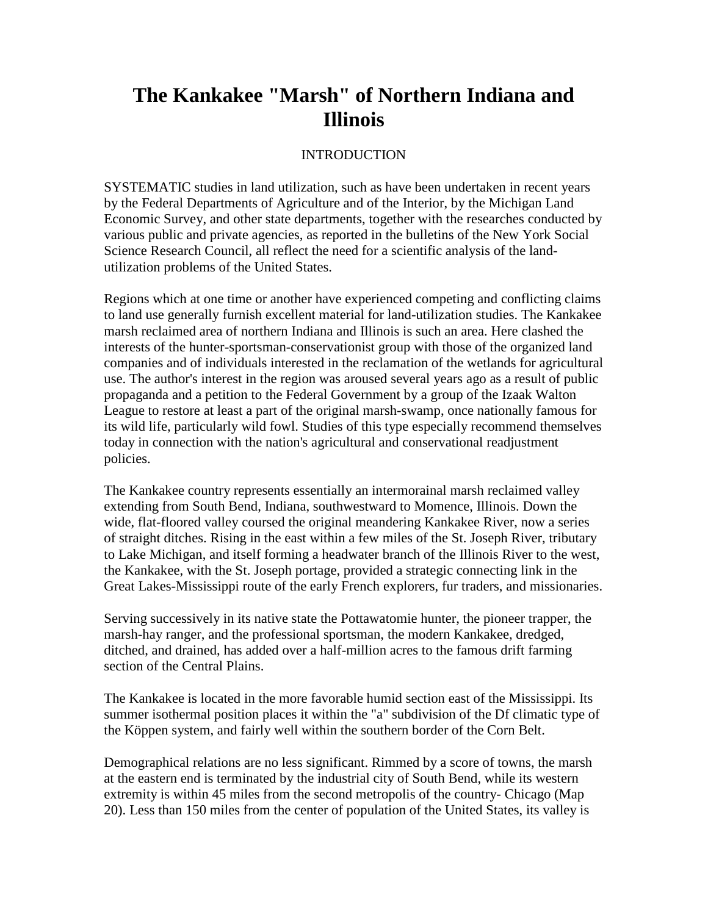# **The Kankakee "Marsh" of Northern Indiana and Illinois**

# **INTRODUCTION**

SYSTEMATIC studies in land utilization, such as have been undertaken in recent years by the Federal Departments of Agriculture and of the Interior, by the Michigan Land Economic Survey, and other state departments, together with the researches conducted by various public and private agencies, as reported in the bulletins of the New York Social Science Research Council, all reflect the need for a scientific analysis of the landutilization problems of the United States.

Regions which at one time or another have experienced competing and conflicting claims to land use generally furnish excellent material for land-utilization studies. The Kankakee marsh reclaimed area of northern Indiana and Illinois is such an area. Here clashed the interests of the hunter-sportsman-conservationist group with those of the organized land companies and of individuals interested in the reclamation of the wetlands for agricultural use. The author's interest in the region was aroused several years ago as a result of public propaganda and a petition to the Federal Government by a group of the Izaak Walton League to restore at least a part of the original marsh-swamp, once nationally famous for its wild life, particularly wild fowl. Studies of this type especially recommend themselves today in connection with the nation's agricultural and conservational readjustment policies.

The Kankakee country represents essentially an intermorainal marsh reclaimed valley extending from South Bend, Indiana, southwestward to Momence, Illinois. Down the wide, flat-floored valley coursed the original meandering Kankakee River, now a series of straight ditches. Rising in the east within a few miles of the St. Joseph River, tributary to Lake Michigan, and itself forming a headwater branch of the Illinois River to the west, the Kankakee, with the St. Joseph portage, provided a strategic connecting link in the Great Lakes-Mississippi route of the early French explorers, fur traders, and missionaries.

Serving successively in its native state the Pottawatomie hunter, the pioneer trapper, the marsh-hay ranger, and the professional sportsman, the modern Kankakee, dredged, ditched, and drained, has added over a half-million acres to the famous drift farming section of the Central Plains.

The Kankakee is located in the more favorable humid section east of the Mississippi. Its summer isothermal position places it within the "a" subdivision of the Df climatic type of the Köppen system, and fairly well within the southern border of the Corn Belt.

Demographical relations are no less significant. Rimmed by a score of towns, the marsh at the eastern end is terminated by the industrial city of South Bend, while its western extremity is within 45 miles from the second metropolis of the country- Chicago (Map 20). Less than 150 miles from the center of population of the United States, its valley is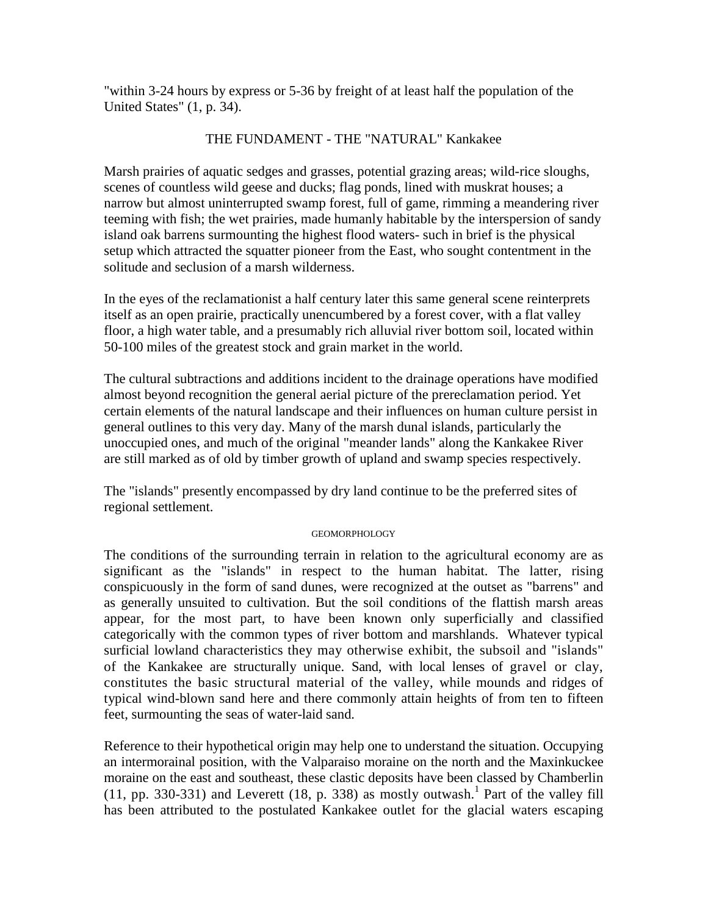"within 3-24 hours by express or 5-36 by freight of at least half the population of the United States" (1, p. 34).

# THE FUNDAMENT - THE "NATURAL" Kankakee

Marsh prairies of aquatic sedges and grasses, potential grazing areas; wild-rice sloughs, scenes of countless wild geese and ducks; flag ponds, lined with muskrat houses; a narrow but almost uninterrupted swamp forest, full of game, rimming a meandering river teeming with fish; the wet prairies, made humanly habitable by the interspersion of sandy island oak barrens surmounting the highest flood waters- such in brief is the physical setup which attracted the squatter pioneer from the East, who sought contentment in the solitude and seclusion of a marsh wilderness.

In the eyes of the reclamationist a half century later this same general scene reinterprets itself as an open prairie, practically unencumbered by a forest cover, with a flat valley floor, a high water table, and a presumably rich alluvial river bottom soil, located within 50-100 miles of the greatest stock and grain market in the world.

The cultural subtractions and additions incident to the drainage operations have modified almost beyond recognition the general aerial picture of the prereclamation period. Yet certain elements of the natural landscape and their influences on human culture persist in general outlines to this very day. Many of the marsh dunal islands, particularly the unoccupied ones, and much of the original "meander lands" along the Kankakee River are still marked as of old by timber growth of upland and swamp species respectively.

The "islands" presently encompassed by dry land continue to be the preferred sites of regional settlement.

#### GEOMORPHOLOGY

The conditions of the surrounding terrain in relation to the agricultural economy are as significant as the "islands" in respect to the human habitat. The latter, rising conspicuously in the form of sand dunes, were recognized at the outset as "barrens" and as generally unsuited to cultivation. But the soil conditions of the flattish marsh areas appear, for the most part, to have been known only superficially and classified categorically with the common types of river bottom and marshlands. Whatever typical surficial lowland characteristics they may otherwise exhibit, the subsoil and "islands" of the Kankakee are structurally unique. Sand, with local lenses of gravel or clay, constitutes the basic structural material of the valley, while mounds and ridges of typical wind-blown sand here and there commonly attain heights of from ten to fifteen feet, surmounting the seas of water-laid sand.

Reference to their hypothetical origin may help one to understand the situation. Occupying an intermorainal position, with the Valparaiso moraine on the north and the Maxinkuckee moraine on the east and southeast, these clastic deposits have been classed by Chamberlin (11, pp. 330-331) and Leverett  $(18, p. 338)$  as mostly outwash.<sup>1</sup> Part of the valley fill has been attributed to the postulated Kankakee outlet for the glacial waters escaping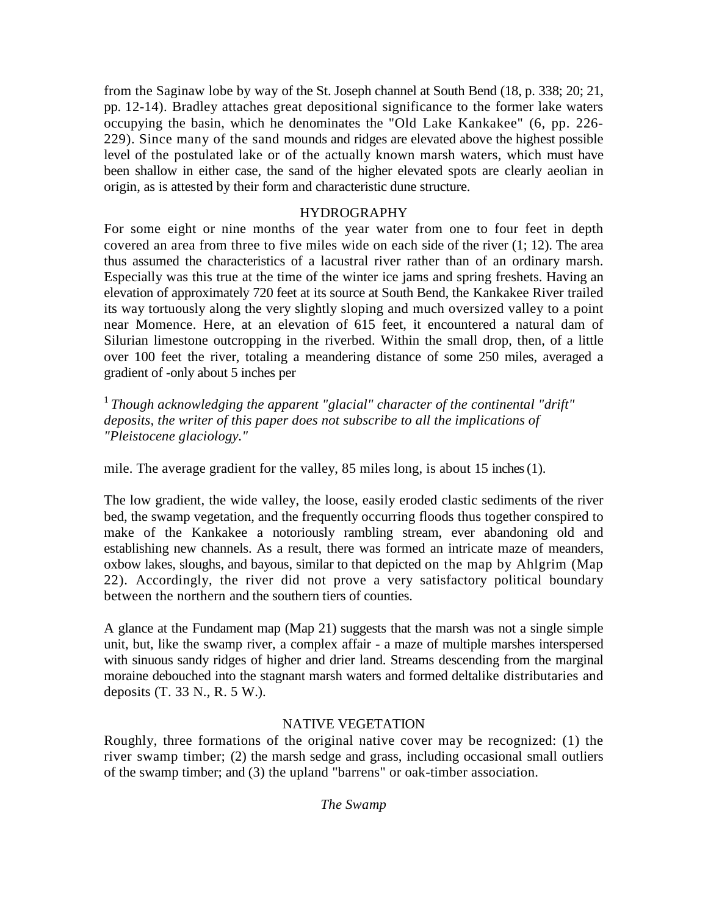from the Saginaw lobe by way of the St. Joseph channel at South Bend (18, p. 338; 20; 21, pp. 12-14). Bradley attaches great depositional significance to the former lake waters occupying the basin, which he denominates the "Old Lake Kankakee" (6, pp. 226- 229). Since many of the sand mounds and ridges are elevated above the highest possible level of the postulated lake or of the actually known marsh waters, which must have been shallow in either case, the sand of the higher elevated spots are clearly aeolian in origin, as is attested by their form and characteristic dune structure.

# HYDROGRAPHY

For some eight or nine months of the year water from one to four feet in depth covered an area from three to five miles wide on each side of the river (1; 12). The area thus assumed the characteristics of a lacustral river rather than of an ordinary marsh. Especially was this true at the time of the winter ice jams and spring freshets. Having an elevation of approximately 720 feet at its source at South Bend, the Kankakee River trailed its way tortuously along the very slightly sloping and much oversized valley to a point near Momence. Here, at an elevation of 615 feet, it encountered a natural dam of Silurian limestone outcropping in the riverbed. Within the small drop, then, of a little over 100 feet the river, totaling a meandering distance of some 250 miles, averaged a gradient of -only about 5 inches per

<sup>1</sup> Though acknowledging the apparent "glacial" character of the continental "drift" *deposits, the writer of this paper does not subscribe to all the implications of "Pleistocene glaciology."*

mile. The average gradient for the valley, 85 miles long, is about 15 inches (1).

The low gradient, the wide valley, the loose, easily eroded clastic sediments of the river bed, the swamp vegetation, and the frequently occurring floods thus together conspired to make of the Kankakee a notoriously rambling stream, ever abandoning old and establishing new channels. As a result, there was formed an intricate maze of meanders, oxbow lakes, sloughs, and bayous, similar to that depicted on the map by Ahlgrim (Map 22). Accordingly, the river did not prove a very satisfactory political boundary between the northern and the southern tiers of counties.

A glance at the Fundament map (Map 21) suggests that the marsh was not a single simple unit, but, like the swamp river, a complex affair - a maze of multiple marshes interspersed with sinuous sandy ridges of higher and drier land. Streams descending from the marginal moraine debouched into the stagnant marsh waters and formed deltalike distributaries and deposits (T. 33 N., R. 5 W.).

# NATIVE VEGETATION

Roughly, three formations of the original native cover may be recognized: (1) the river swamp timber; (2) the marsh sedge and grass, including occasional small outliers of the swamp timber; and (3) the upland "barrens" or oak-timber association.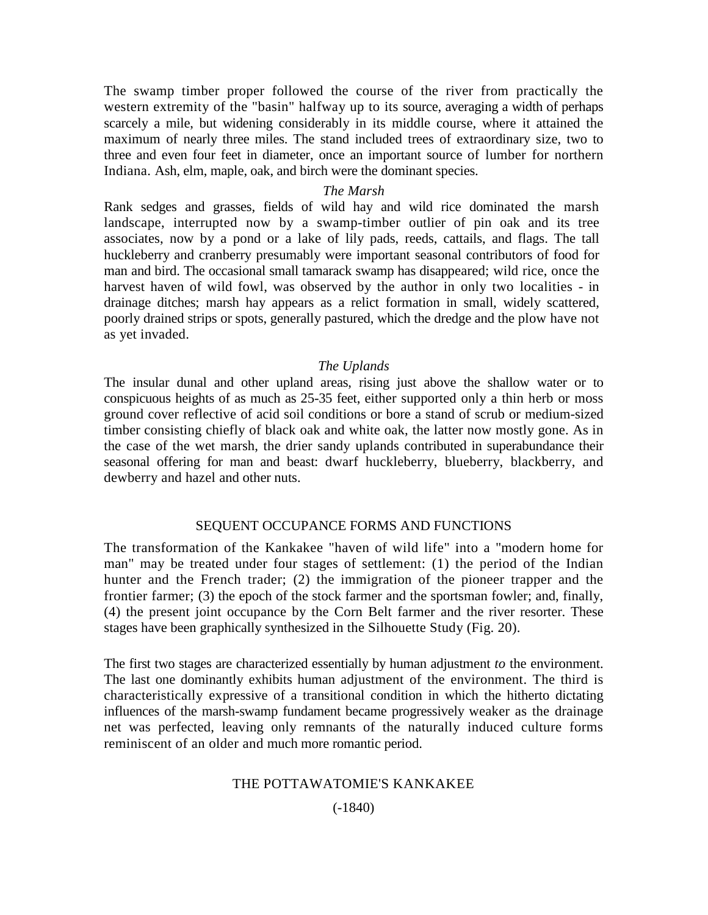The swamp timber proper followed the course of the river from practically the western extremity of the "basin" halfway up to its source, averaging a width of perhaps scarcely a mile, but widening considerably in its middle course, where it attained the maximum of nearly three miles. The stand included trees of extraordinary size, two to three and even four feet in diameter, once an important source of lumber for northern Indiana. Ash, elm, maple, oak, and birch were the dominant species.

#### *The Marsh*

Rank sedges and grasses, fields of wild hay and wild rice dominated the marsh landscape, interrupted now by a swamp-timber outlier of pin oak and its tree associates, now by a pond or a lake of lily pads, reeds, cattails, and flags. The tall huckleberry and cranberry presumably were important seasonal contributors of food for man and bird. The occasional small tamarack swamp has disappeared; wild rice, once the harvest haven of wild fowl, was observed by the author in only two localities - in drainage ditches; marsh hay appears as a relict formation in small, widely scattered, poorly drained strips or spots, generally pastured, which the dredge and the plow have not as yet invaded.

#### *The Uplands*

The insular dunal and other upland areas, rising just above the shallow water or to conspicuous heights of as much as 25-35 feet, either supported only a thin herb or moss ground cover reflective of acid soil conditions or bore a stand of scrub or medium-sized timber consisting chiefly of black oak and white oak, the latter now mostly gone. As in the case of the wet marsh, the drier sandy uplands contributed in superabundance their seasonal offering for man and beast: dwarf huckleberry, blueberry, blackberry, and dewberry and hazel and other nuts.

#### SEQUENT OCCUPANCE FORMS AND FUNCTIONS

The transformation of the Kankakee "haven of wild life" into a "modern home for man" may be treated under four stages of settlement: (1) the period of the Indian hunter and the French trader; (2) the immigration of the pioneer trapper and the frontier farmer; (3) the epoch of the stock farmer and the sportsman fowler; and, finally, (4) the present joint occupance by the Corn Belt farmer and the river resorter. These stages have been graphically synthesized in the Silhouette Study (Fig. 20).

The first two stages are characterized essentially by human adjustment *to* the environment. The last one dominantly exhibits human adjustment of the environment. The third is characteristically expressive of a transitional condition in which the hitherto dictating influences of the marsh-swamp fundament became progressively weaker as the drainage net was perfected, leaving only remnants of the naturally induced culture forms reminiscent of an older and much more romantic period.

#### THE POTTAWATOMIE'S KANKAKEE

(-1840)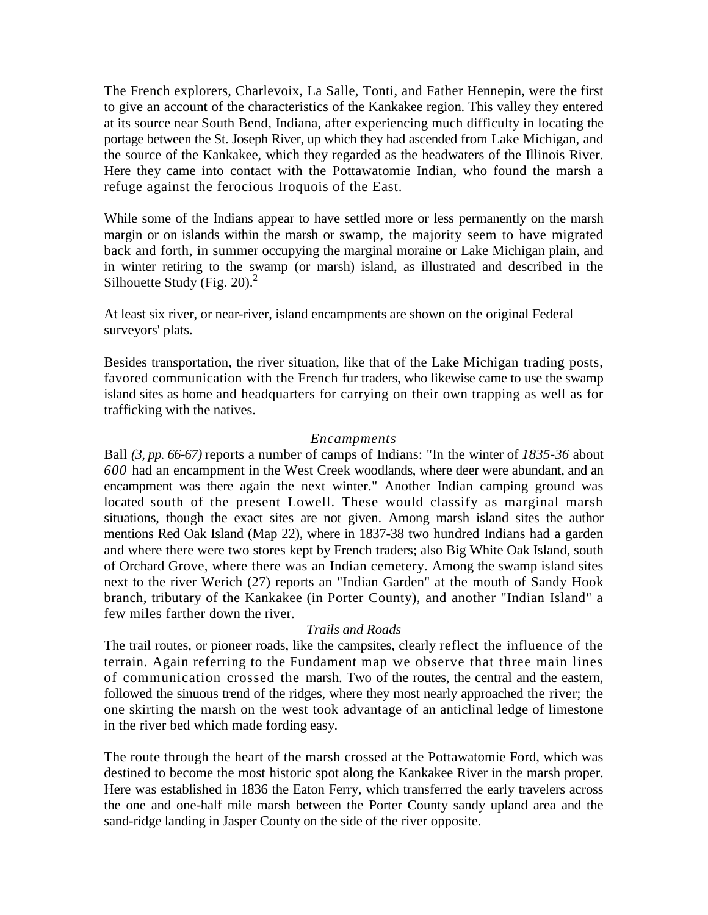The French explorers, Charlevoix, La Salle, Tonti, and Father Hennepin, were the first to give an account of the characteristics of the Kankakee region. This valley they entered at its source near South Bend, Indiana, after experiencing much difficulty in locating the portage between the St. Joseph River, up which they had ascended from Lake Michigan, and the source of the Kankakee, which they regarded as the headwaters of the Illinois River. Here they came into contact with the Pottawatomie Indian, who found the marsh a refuge against the ferocious Iroquois of the East.

While some of the Indians appear to have settled more or less permanently on the marsh margin or on islands within the marsh or swamp, the majority seem to have migrated back and forth, in summer occupying the marginal moraine or Lake Michigan plain, and in winter retiring to the swamp (or marsh) island, as illustrated and described in the Silhouette Study (Fig. 20). $^2$ 

At least six river, or near-river, island encampments are shown on the original Federal surveyors' plats.

Besides transportation, the river situation, like that of the Lake Michigan trading posts, favored communication with the French fur traders, who likewise came to use the swamp island sites as home and headquarters for carrying on their own trapping as well as for trafficking with the natives.

#### *Encampments*

Ball *(3, pp. 66-67)* reports a number of camps of Indians: "In the winter of *1835-36* about *600* had an encampment in the West Creek woodlands, where deer were abundant, and an encampment was there again the next winter." Another Indian camping ground was located south of the present Lowell. These would classify as marginal marsh situations, though the exact sites are not given. Among marsh island sites the author mentions Red Oak Island (Map 22), where in 1837-38 two hundred Indians had a garden and where there were two stores kept by French traders; also Big White Oak Island, south of Orchard Grove, where there was an Indian cemetery. Among the swamp island sites next to the river Werich (27) reports an "Indian Garden" at the mouth of Sandy Hook branch, tributary of the Kankakee (in Porter County), and another "Indian Island" a few miles farther down the river.

#### *Trails and Roads*

The trail routes, or pioneer roads, like the campsites, clearly reflect the influence of the terrain. Again referring to the Fundament map we observe that three main lines of communication crossed the marsh. Two of the routes, the central and the eastern, followed the sinuous trend of the ridges, where they most nearly approached the river; the one skirting the marsh on the west took advantage of an anticlinal ledge of limestone in the river bed which made fording easy.

The route through the heart of the marsh crossed at the Pottawatomie Ford, which was destined to become the most historic spot along the Kankakee River in the marsh proper. Here was established in 1836 the Eaton Ferry, which transferred the early travelers across the one and one-half mile marsh between the Porter County sandy upland area and the sand-ridge landing in Jasper County on the side of the river opposite.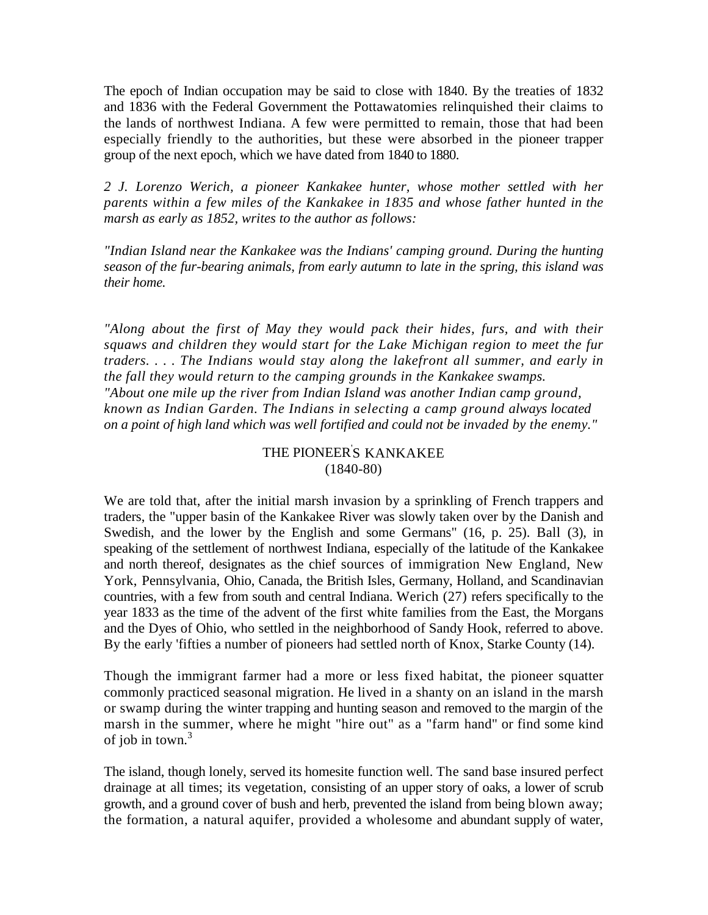The epoch of Indian occupation may be said to close with 1840. By the treaties of 1832 and 1836 with the Federal Government the Pottawatomies relinquished their claims to the lands of northwest Indiana. A few were permitted to remain, those that had been especially friendly to the authorities, but these were absorbed in the pioneer trapper group of the next epoch, which we have dated from 1840 to 1880.

*2 J. Lorenzo Werich, a pioneer Kankakee hunter, whose mother settled with her*  parents within a few miles of the Kankakee in 1835 and whose father hunted in the *marsh as early as 1852, writes to the author as follows:*

*"Indian Island near the Kankakee was the Indians' camping ground. During the hunting season of the fur-bearing animals, from early autumn to late in the spring, this island was their home.*

*"Along about the first of May they would pack their hides, furs, and with their squaws and children they would start for the Lake Michigan region to meet the fur traders. . . . The Indians would stay along the lakefront all summer, and early in the fall they would return to the camping grounds in the Kankakee swamps. "About one mile up the river from Indian Island was another Indian camp ground, known as Indian Garden. The Indians in selecting a camp ground always located on a point of high land which was well fortified and could not be invaded by the enemy."*

## THE PIONEER' S KANKAKEE (1840-80)

We are told that, after the initial marsh invasion by a sprinkling of French trappers and traders, the "upper basin of the Kankakee River was slowly taken over by the Danish and Swedish, and the lower by the English and some Germans" (16, p. 25). Ball (3), in speaking of the settlement of northwest Indiana, especially of the latitude of the Kankakee and north thereof, designates as the chief sources of immigration New England, New York, Pennsylvania, Ohio, Canada, the British Isles, Germany, Holland, and Scandinavian countries, with a few from south and central Indiana. Werich (27) refers specifically to the year 1833 as the time of the advent of the first white families from the East, the Morgans and the Dyes of Ohio, who settled in the neighborhood of Sandy Hook, referred to above. By the early 'fifties a number of pioneers had settled north of Knox, Starke County (14).

Though the immigrant farmer had a more or less fixed habitat, the pioneer squatter commonly practiced seasonal migration. He lived in a shanty on an island in the marsh or swamp during the winter trapping and hunting season and removed to the margin of the marsh in the summer, where he might "hire out" as a "farm hand" or find some kind of job in town. $3$ 

The island, though lonely, served its homesite function well. The sand base insured perfect drainage at all times; its vegetation, consisting of an upper story of oaks, a lower of scrub growth, and a ground cover of bush and herb, prevented the island from being blown away; the formation, a natural aquifer, provided a wholesome and abundant supply of water,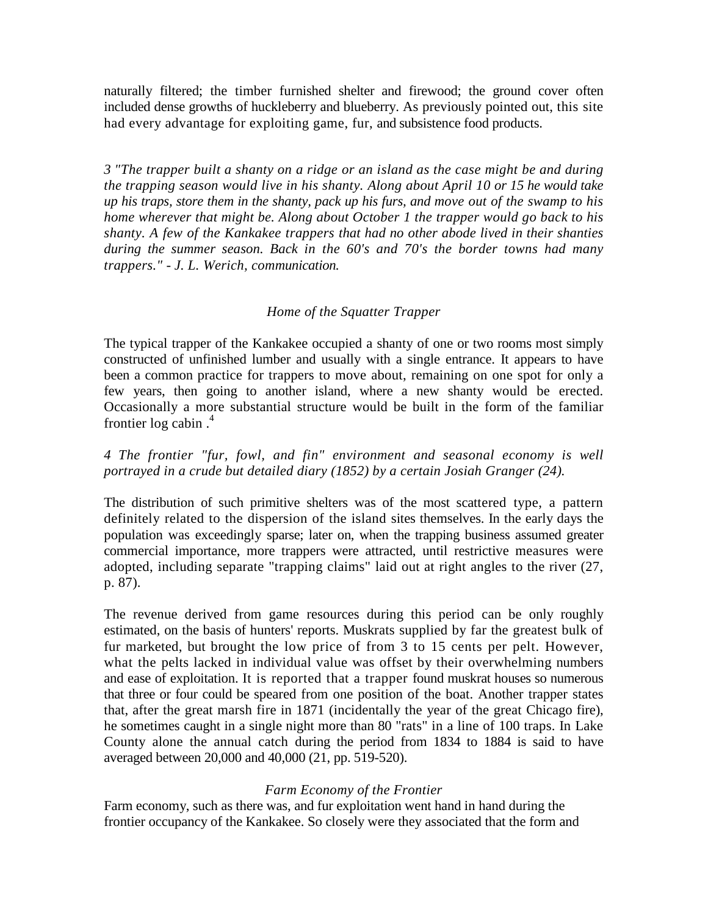naturally filtered; the timber furnished shelter and firewood; the ground cover often included dense growths of huckleberry and blueberry. As previously pointed out, this site had every advantage for exploiting game, fur, and subsistence food products.

*3 "The trapper built a shanty on a ridge or an island as the case might be and during the trapping season would live in his shanty. Along about April 10 or 15 he would take up his traps, store them in the shanty, pack up his furs, and move out of the swamp to his home wherever that might be. Along about October 1 the trapper would go back to his shanty. A few of the Kankakee trappers that had no other abode lived in their shanties during the summer season. Back in the 60's and 70's the border towns had many trappers." - J. L. Werich, communication.*

# *Home of the Squatter Trapper*

The typical trapper of the Kankakee occupied a shanty of one or two rooms most simply constructed of unfinished lumber and usually with a single entrance. It appears to have been a common practice for trappers to move about, remaining on one spot for only a few years, then going to another island, where a new shanty would be erected. Occasionally a more substantial structure would be built in the form of the familiar frontier log cabin . 4

# *4 The frontier "fur, fowl, and fin" environment and seasonal economy is well portrayed in a crude but detailed diary (1852) by a certain Josiah Granger (24).*

The distribution of such primitive shelters was of the most scattered type, a pattern definitely related to the dispersion of the island sites themselves. In the early days the population was exceedingly sparse; later on, when the trapping business assumed greater commercial importance, more trappers were attracted, until restrictive measures were adopted, including separate "trapping claims" laid out at right angles to the river (27, p. 87).

The revenue derived from game resources during this period can be only roughly estimated, on the basis of hunters' reports. Muskrats supplied by far the greatest bulk of fur marketed, but brought the low price of from 3 to 15 cents per pelt. However, what the pelts lacked in individual value was offset by their overwhelming numbers and ease of exploitation. It is reported that a trapper found muskrat houses so numerous that three or four could be speared from one position of the boat. Another trapper states that, after the great marsh fire in 1871 (incidentally the year of the great Chicago fire), he sometimes caught in a single night more than 80 "rats" in a line of 100 traps. In Lake County alone the annual catch during the period from 1834 to 1884 is said to have averaged between 20,000 and 40,000 (21, pp. 519-520).

## *Farm Economy of the Frontier*

Farm economy, such as there was, and fur exploitation went hand in hand during the frontier occupancy of the Kankakee. So closely were they associated that the form and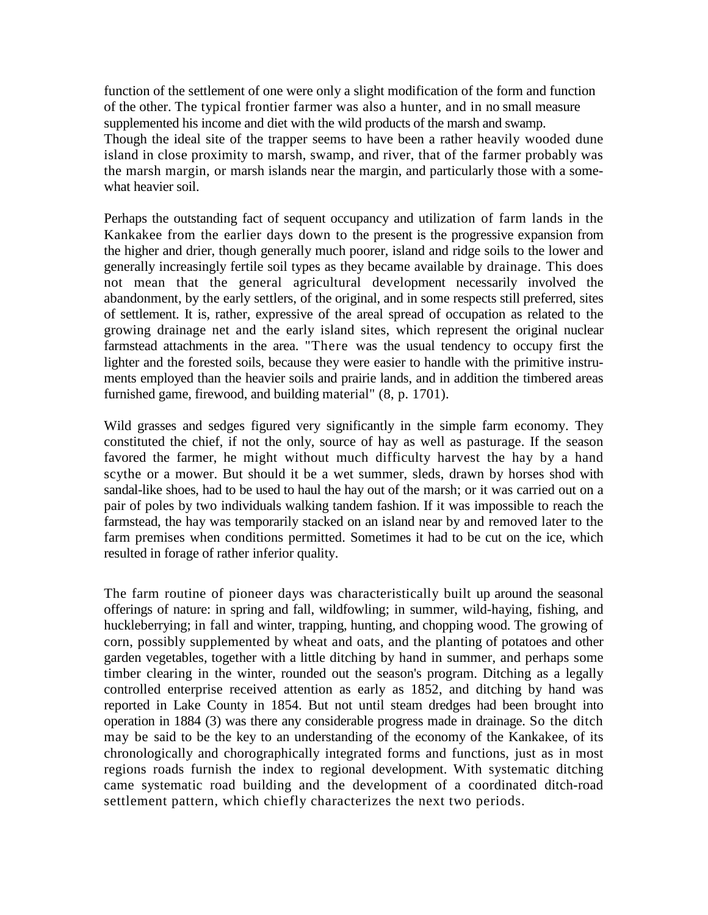function of the settlement of one were only a slight modification of the form and function of the other. The typical frontier farmer was also a hunter, and in no small measure supplemented his income and diet with the wild products of the marsh and swamp. Though the ideal site of the trapper seems to have been a rather heavily wooded dune island in close proximity to marsh, swamp, and river, that of the farmer probably was the marsh margin, or marsh islands near the margin, and particularly those with a somewhat heavier soil.

Perhaps the outstanding fact of sequent occupancy and utilization of farm lands in the Kankakee from the earlier days down to the present is the progressive expansion from the higher and drier, though generally much poorer, island and ridge soils to the lower and generally increasingly fertile soil types as they became available by drainage. This does not mean that the general agricultural development necessarily involved the abandonment, by the early settlers, of the original, and in some respects still preferred, sites of settlement. It is, rather, expressive of the areal spread of occupation as related to the growing drainage net and the early island sites, which represent the original nuclear farmstead attachments in the area. "There was the usual tendency to occupy first the lighter and the forested soils, because they were easier to handle with the primitive instruments employed than the heavier soils and prairie lands, and in addition the timbered areas furnished game, firewood, and building material" (8, p. 1701).

Wild grasses and sedges figured very significantly in the simple farm economy. They constituted the chief, if not the only, source of hay as well as pasturage. If the season favored the farmer, he might without much difficulty harvest the hay by a hand scythe or a mower. But should it be a wet summer, sleds, drawn by horses shod with sandal-like shoes, had to be used to haul the hay out of the marsh; or it was carried out on a pair of poles by two individuals walking tandem fashion. If it was impossible to reach the farmstead, the hay was temporarily stacked on an island near by and removed later to the farm premises when conditions permitted. Sometimes it had to be cut on the ice, which resulted in forage of rather inferior quality.

The farm routine of pioneer days was characteristically built up around the seasonal offerings of nature: in spring and fall, wildfowling; in summer, wild-haying, fishing, and huckleberrying; in fall and winter, trapping, hunting, and chopping wood. The growing of corn, possibly supplemented by wheat and oats, and the planting of potatoes and other garden vegetables, together with a little ditching by hand in summer, and perhaps some timber clearing in the winter, rounded out the season's program. Ditching as a legally controlled enterprise received attention as early as 1852, and ditching by hand was reported in Lake County in 1854. But not until steam dredges had been brought into operation in 1884 (3) was there any considerable progress made in drainage. So the ditch may be said to be the key to an understanding of the economy of the Kankakee, of its chronologically and chorographically integrated forms and functions, just as in most regions roads furnish the index to regional development. With systematic ditching came systematic road building and the development of a coordinated ditch-road settlement pattern, which chiefly characterizes the next two periods.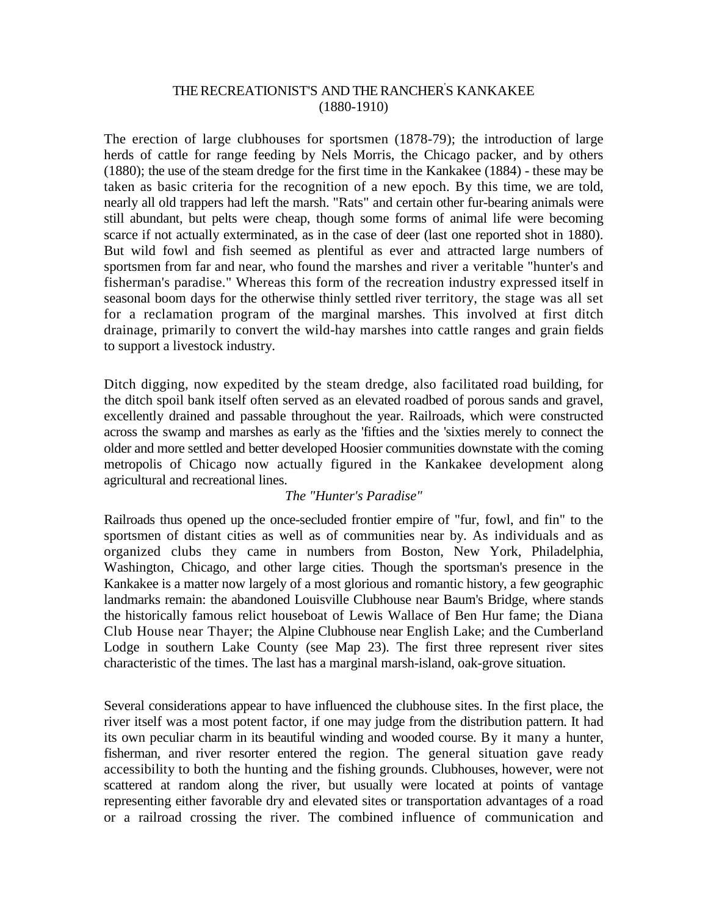# THE RECREATIONIST'S AND THE RANCHER' S KANKAKEE (1880-1910)

The erection of large clubhouses for sportsmen (1878-79); the introduction of large herds of cattle for range feeding by Nels Morris, the Chicago packer, and by others (1880); the use of the steam dredge for the first time in the Kankakee (1884) - these may be taken as basic criteria for the recognition of a new epoch. By this time, we are told, nearly all old trappers had left the marsh. "Rats" and certain other fur-bearing animals were still abundant, but pelts were cheap, though some forms of animal life were becoming scarce if not actually exterminated, as in the case of deer (last one reported shot in 1880). But wild fowl and fish seemed as plentiful as ever and attracted large numbers of sportsmen from far and near, who found the marshes and river a veritable "hunter's and fisherman's paradise." Whereas this form of the recreation industry expressed itself in seasonal boom days for the otherwise thinly settled river territory, the stage was all set for a reclamation program of the marginal marshes. This involved at first ditch drainage, primarily to convert the wild-hay marshes into cattle ranges and grain fields to support a livestock industry.

Ditch digging, now expedited by the steam dredge, also facilitated road building, for the ditch spoil bank itself often served as an elevated roadbed of porous sands and gravel, excellently drained and passable throughout the year. Railroads, which were constructed across the swamp and marshes as early as the 'fifties and the 'sixties merely to connect the older and more settled and better developed Hoosier communities downstate with the coming metropolis of Chicago now actually figured in the Kankakee development along agricultural and recreational lines.

## *The "Hunter's Paradise"*

Railroads thus opened up the once-secluded frontier empire of "fur, fowl, and fin" to the sportsmen of distant cities as well as of communities near by. As individuals and as organized clubs they came in numbers from Boston, New York, Philadelphia, Washington, Chicago, and other large cities. Though the sportsman's presence in the Kankakee is a matter now largely of a most glorious and romantic history, a few geographic landmarks remain: the abandoned Louisville Clubhouse near Baum's Bridge, where stands the historically famous relict houseboat of Lewis Wallace of Ben Hur fame; the Diana Club House near Thayer; the Alpine Clubhouse near English Lake; and the Cumberland Lodge in southern Lake County (see Map 23). The first three represent river sites characteristic of the times. The last has a marginal marsh-island, oak-grove situation.

Several considerations appear to have influenced the clubhouse sites. In the first place, the river itself was a most potent factor, if one may judge from the distribution pattern. It had its own peculiar charm in its beautiful winding and wooded course. By it many a hunter, fisherman, and river resorter entered the region. The general situation gave ready accessibility to both the hunting and the fishing grounds. Clubhouses, however, were not scattered at random along the river, but usually were located at points of vantage representing either favorable dry and elevated sites or transportation advantages of a road or a railroad crossing the river. The combined influence of communication and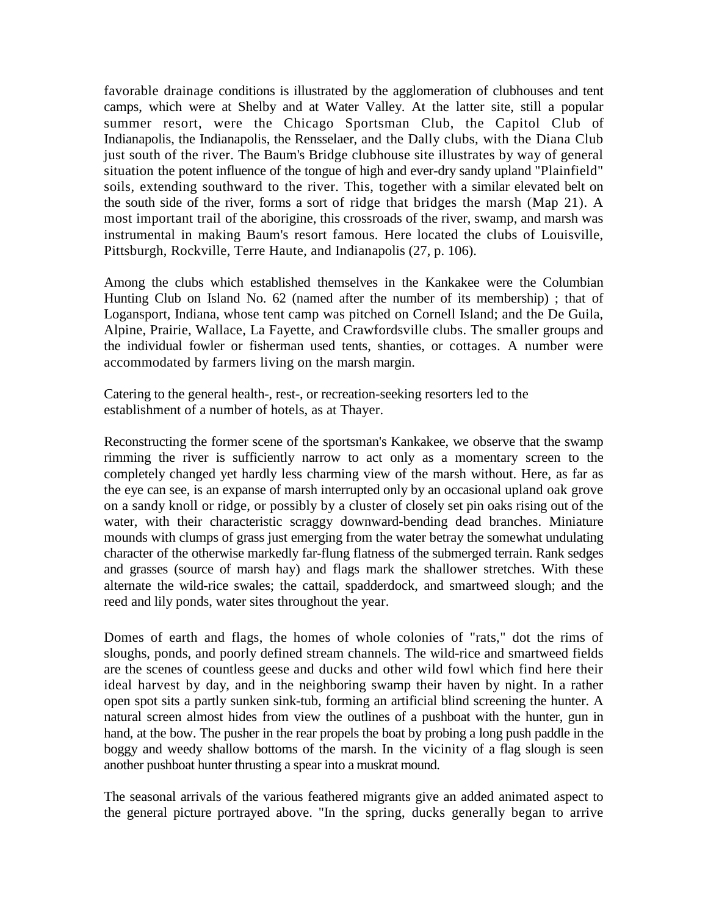favorable drainage conditions is illustrated by the agglomeration of clubhouses and tent camps, which were at Shelby and at Water Valley. At the latter site, still a popular summer resort, were the Chicago Sportsman Club, the Capitol Club of Indianapolis, the Indianapolis, the Rensselaer, and the Dally clubs, with the Diana Club just south of the river. The Baum's Bridge clubhouse site illustrates by way of general situation the potent influence of the tongue of high and ever-dry sandy upland "Plainfield" soils, extending southward to the river. This, together with a similar elevated belt on the south side of the river, forms a sort of ridge that bridges the marsh (Map 21). A most important trail of the aborigine, this crossroads of the river, swamp, and marsh was instrumental in making Baum's resort famous. Here located the clubs of Louisville, Pittsburgh, Rockville, Terre Haute, and Indianapolis (27, p. 106).

Among the clubs which established themselves in the Kankakee were the Columbian Hunting Club on Island No. 62 (named after the number of its membership) ; that of Logansport, Indiana, whose tent camp was pitched on Cornell Island; and the De Guila, Alpine, Prairie, Wallace, La Fayette, and Crawfordsville clubs. The smaller groups and the individual fowler or fisherman used tents, shanties, or cottages. A number were accommodated by farmers living on the marsh margin.

Catering to the general health-, rest-, or recreation-seeking resorters led to the establishment of a number of hotels, as at Thayer.

Reconstructing the former scene of the sportsman's Kankakee, we observe that the swamp rimming the river is sufficiently narrow to act only as a momentary screen to the completely changed yet hardly less charming view of the marsh without. Here, as far as the eye can see, is an expanse of marsh interrupted only by an occasional upland oak grove on a sandy knoll or ridge, or possibly by a cluster of closely set pin oaks rising out of the water, with their characteristic scraggy downward-bending dead branches. Miniature mounds with clumps of grass just emerging from the water betray the somewhat undulating character of the otherwise markedly far-flung flatness of the submerged terrain. Rank sedges and grasses (source of marsh hay) and flags mark the shallower stretches. With these alternate the wild-rice swales; the cattail, spadderdock, and smartweed slough; and the reed and lily ponds, water sites throughout the year.

Domes of earth and flags, the homes of whole colonies of "rats," dot the rims of sloughs, ponds, and poorly defined stream channels. The wild-rice and smartweed fields are the scenes of countless geese and ducks and other wild fowl which find here their ideal harvest by day, and in the neighboring swamp their haven by night. In a rather open spot sits a partly sunken sink-tub, forming an artificial blind screening the hunter. A natural screen almost hides from view the outlines of a pushboat with the hunter, gun in hand, at the bow. The pusher in the rear propels the boat by probing a long push paddle in the boggy and weedy shallow bottoms of the marsh. In the vicinity of a flag slough is seen another pushboat hunter thrusting a spear into a muskrat mound.

The seasonal arrivals of the various feathered migrants give an added animated aspect to the general picture portrayed above. "In the spring, ducks generally began to arrive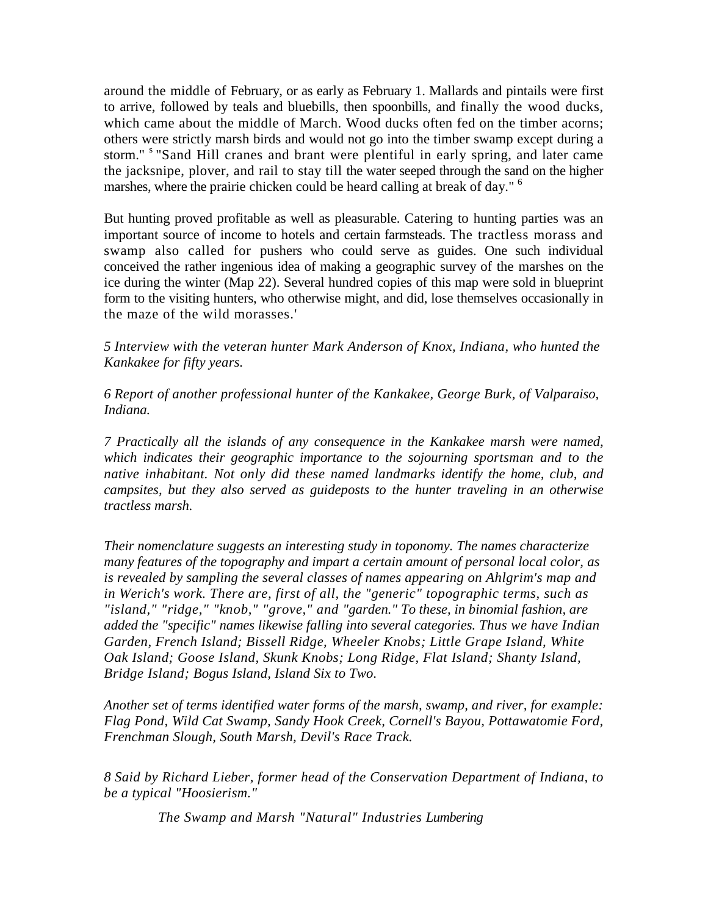around the middle of February, or as early as February 1. Mallards and pintails were first to arrive, followed by teals and bluebills, then spoonbills, and finally the wood ducks, which came about the middle of March. Wood ducks often fed on the timber acorns; others were strictly marsh birds and would not go into the timber swamp except during a storm." <sup>s</sup> "Sand Hill cranes and brant were plentiful in early spring, and later came the jacksnipe, plover, and rail to stay till the water seeped through the sand on the higher marshes, where the prairie chicken could be heard calling at break of day." <sup>6</sup>

But hunting proved profitable as well as pleasurable. Catering to hunting parties was an important source of income to hotels and certain farmsteads. The tractless morass and swamp also called for pushers who could serve as guides. One such individual conceived the rather ingenious idea of making a geographic survey of the marshes on the ice during the winter (Map 22). Several hundred copies of this map were sold in blueprint form to the visiting hunters, who otherwise might, and did, lose themselves occasionally in the maze of the wild morasses.'

*5 Interview with the veteran hunter Mark Anderson of Knox, Indiana, who hunted the Kankakee for fifty years.*

*6 Report of another professional hunter of the Kankakee, George Burk, of Valparaiso, Indiana.*

*7 Practically all the islands of any consequence in the Kankakee marsh were named, which indicates their geographic importance to the sojourning sportsman and to the native inhabitant. Not only did these named landmarks identify the home, club, and campsites, but they also served as guideposts to the hunter traveling in an otherwise tractless marsh.*

*Their nomenclature suggests an interesting study in toponomy. The names characterize many features of the topography and impart a certain amount of personal local color, as is revealed by sampling the several classes of names appearing on Ahlgrim's map and in Werich's work. There are, first of all, the "generic" topographic terms, such as "island," "ridge," "knob," "grove," and "garden." To these, in binomial fashion, are added the "specific" names likewise falling into several categories. Thus we have Indian Garden, French Island; Bissell Ridge, Wheeler Knobs; Little Grape Island, White Oak Island; Goose Island, Skunk Knobs; Long Ridge, Flat Island; Shanty Island, Bridge Island; Bogus Island, Island Six to Two.*

*Another set of terms identified water forms of the marsh, swamp, and river, for example: Flag Pond, Wild Cat Swamp, Sandy Hook Creek, Cornell's Bayou, Pottawatomie Ford, Frenchman Slough, South Marsh, Devil's Race Track.*

*8 Said by Richard Lieber, former head of the Conservation Department of Indiana, to be a typical "Hoosierism."*

*The Swamp and Marsh "Natural" Industries Lumbering*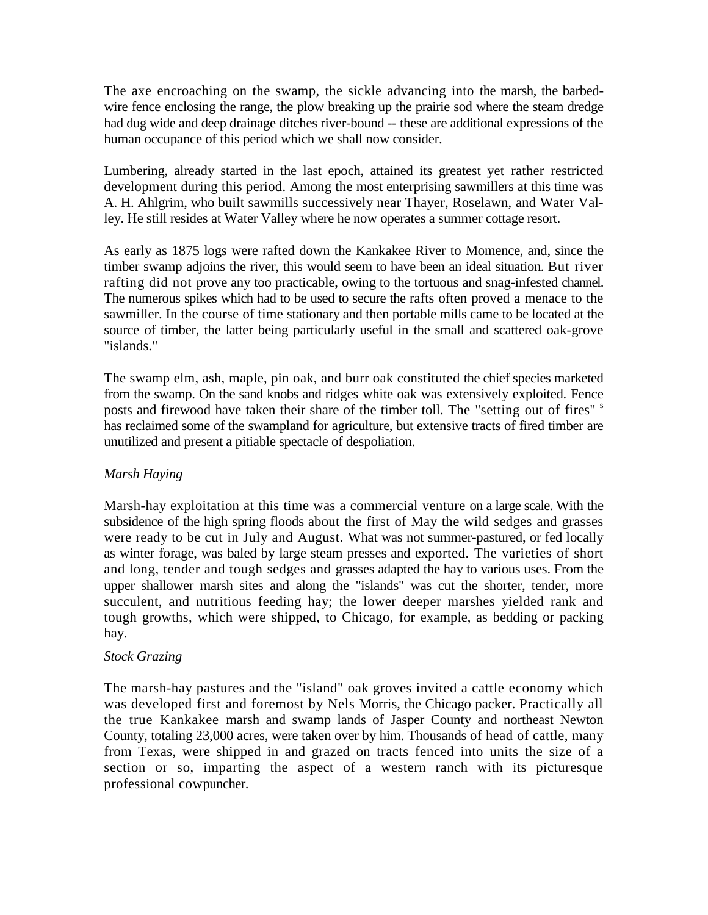The axe encroaching on the swamp, the sickle advancing into the marsh, the barbedwire fence enclosing the range, the plow breaking up the prairie sod where the steam dredge had dug wide and deep drainage ditches river-bound -- these are additional expressions of the human occupance of this period which we shall now consider.

Lumbering, already started in the last epoch, attained its greatest yet rather restricted development during this period. Among the most enterprising sawmillers at this time was A. H. Ahlgrim, who built sawmills successively near Thayer, Roselawn, and Water Valley. He still resides at Water Valley where he now operates a summer cottage resort.

As early as 1875 logs were rafted down the Kankakee River to Momence, and, since the timber swamp adjoins the river, this would seem to have been an ideal situation. But river rafting did not prove any too practicable, owing to the tortuous and snag-infested channel. The numerous spikes which had to be used to secure the rafts often proved a menace to the sawmiller. In the course of time stationary and then portable mills came to be located at the source of timber, the latter being particularly useful in the small and scattered oak-grove "islands."

The swamp elm, ash, maple, pin oak, and burr oak constituted the chief species marketed from the swamp. On the sand knobs and ridges white oak was extensively exploited. Fence posts and firewood have taken their share of the timber toll. The "setting out of fires" <sup>s</sup> has reclaimed some of the swampland for agriculture, but extensive tracts of fired timber are unutilized and present a pitiable spectacle of despoliation.

# *Marsh Haying*

Marsh-hay exploitation at this time was a commercial venture on a large scale. With the subsidence of the high spring floods about the first of May the wild sedges and grasses were ready to be cut in July and August. What was not summer-pastured, or fed locally as winter forage, was baled by large steam presses and exported. The varieties of short and long, tender and tough sedges and grasses adapted the hay to various uses. From the upper shallower marsh sites and along the "islands" was cut the shorter, tender, more succulent, and nutritious feeding hay; the lower deeper marshes yielded rank and tough growths, which were shipped, to Chicago, for example, as bedding or packing hay.

# *Stock Grazing*

The marsh-hay pastures and the "island" oak groves invited a cattle economy which was developed first and foremost by Nels Morris, the Chicago packer. Practically all the true Kankakee marsh and swamp lands of Jasper County and northeast Newton County, totaling 23,000 acres, were taken over by him. Thousands of head of cattle, many from Texas, were shipped in and grazed on tracts fenced into units the size of a section or so, imparting the aspect of a western ranch with its picturesque professional cowpuncher.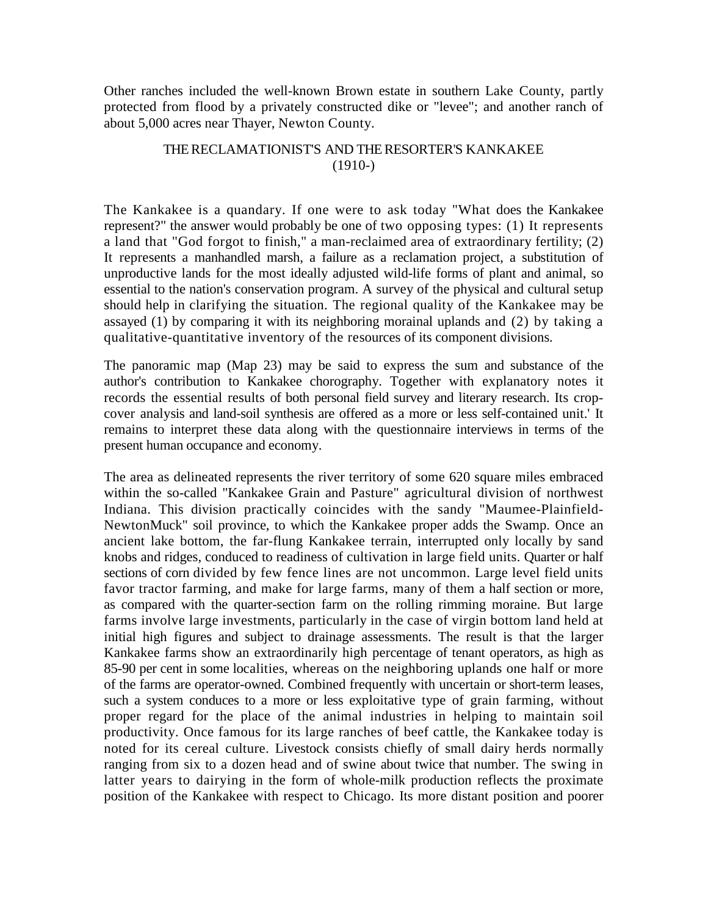Other ranches included the well-known Brown estate in southern Lake County, partly protected from flood by a privately constructed dike or "levee"; and another ranch of about 5,000 acres near Thayer, Newton County.

# THE RECLAMATIONIST'S AND THE RESORTER'S KANKAKEE  $(1910-)$

The Kankakee is a quandary. If one were to ask today "What does the Kankakee represent?" the answer would probably be one of two opposing types: (1) It represents a land that "God forgot to finish," a man-reclaimed area of extraordinary fertility; (2) It represents a manhandled marsh, a failure as a reclamation project, a substitution of unproductive lands for the most ideally adjusted wild-life forms of plant and animal, so essential to the nation's conservation program. A survey of the physical and cultural setup should help in clarifying the situation. The regional quality of the Kankakee may be assayed (1) by comparing it with its neighboring morainal uplands and (2) by taking a qualitative-quantitative inventory of the resources of its component divisions.

The panoramic map (Map 23) may be said to express the sum and substance of the author's contribution to Kankakee chorography. Together with explanatory notes it records the essential results of both personal field survey and literary research. Its cropcover analysis and land-soil synthesis are offered as a more or less self-contained unit.' It remains to interpret these data along with the questionnaire interviews in terms of the present human occupance and economy.

The area as delineated represents the river territory of some 620 square miles embraced within the so-called "Kankakee Grain and Pasture" agricultural division of northwest Indiana. This division practically coincides with the sandy "Maumee-Plainfield-NewtonMuck" soil province, to which the Kankakee proper adds the Swamp. Once an ancient lake bottom, the far-flung Kankakee terrain, interrupted only locally by sand knobs and ridges, conduced to readiness of cultivation in large field units. Quarter or half sections of corn divided by few fence lines are not uncommon. Large level field units favor tractor farming, and make for large farms, many of them a half section or more, as compared with the quarter-section farm on the rolling rimming moraine. But large farms involve large investments, particularly in the case of virgin bottom land held at initial high figures and subject to drainage assessments. The result is that the larger Kankakee farms show an extraordinarily high percentage of tenant operators, as high as 85-90 per cent in some localities, whereas on the neighboring uplands one half or more of the farms are operator-owned. Combined frequently with uncertain or short-term leases, such a system conduces to a more or less exploitative type of grain farming, without proper regard for the place of the animal industries in helping to maintain soil productivity. Once famous for its large ranches of beef cattle, the Kankakee today is noted for its cereal culture. Livestock consists chiefly of small dairy herds normally ranging from six to a dozen head and of swine about twice that number. The swing in latter years to dairying in the form of whole-milk production reflects the proximate position of the Kankakee with respect to Chicago. Its more distant position and poorer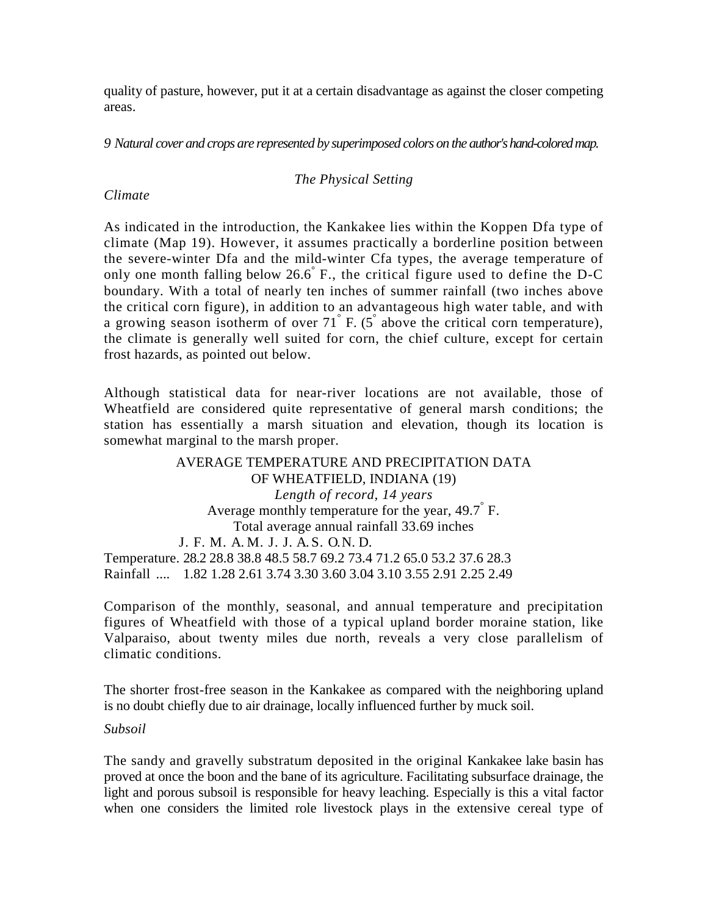quality of pasture, however, put it at a certain disadvantage as against the closer competing areas.

*9 Natural cover and crops are represented by superimposed colors on the author's hand-colored map.*

# *The Physical Setting*

# *Climate*

As indicated in the introduction, the Kankakee lies within the Koppen Dfa type of climate (Map 19). However, it assumes practically a borderline position between the severe-winter Dfa and the mild-winter Cfa types, the average temperature of only one month falling below  $26.6^{\circ}$  F., the critical figure used to define the D-C boundary. With a total of nearly ten inches of summer rainfall (two inches above the critical corn figure), in addition to an advantageous high water table, and with a growing season isotherm of over  $71^{\circ}$  F. (5<sup>°</sup> above the critical corn temperature), the climate is generally well suited for corn, the chief culture, except for certain frost hazards, as pointed out below.

Although statistical data for near-river locations are not available, those of Wheatfield are considered quite representative of general marsh conditions; the station has essentially a marsh situation and elevation, though its location is somewhat marginal to the marsh proper.

AVERAGE TEMPERATURE AND PRECIPITATION DATA OF WHEATFIELD, INDIANA (19) *Length of record, 14 years* Average monthly temperature for the year, 49.7° F. Total average annual rainfall 33.69 inches J. F. M. A[. M. J. J. A. S. O. N. D.](http://m.j.j.a.s.o.n.d.temperature.28.2/)  [Temperature. 28.2](http://m.j.j.a.s.o.n.d.temperature.28.2/) 28.8 38.8 48.5 58.7 69.2 73.4 71.2 65.0 53.2 37.6 28.3 Rainfall .... 1.82 1.28 2.61 3.74 3.30 3.60 3.04 3.10 3.55 2.91 2.25 2.49

Comparison of the monthly, seasonal, and annual temperature and precipitation figures of Wheatfield with those of a typical upland border moraine station, like Valparaiso, about twenty miles due north, reveals a very close parallelism of climatic conditions.

The shorter frost-free season in the Kankakee as compared with the neighboring upland is no doubt chiefly due to air drainage, locally influenced further by muck soil.

*Subsoil*

The sandy and gravelly substratum deposited in the original Kankakee lake basin has proved at once the boon and the bane of its agriculture. Facilitating subsurface drainage, the light and porous subsoil is responsible for heavy leaching. Especially is this a vital factor when one considers the limited role livestock plays in the extensive cereal type of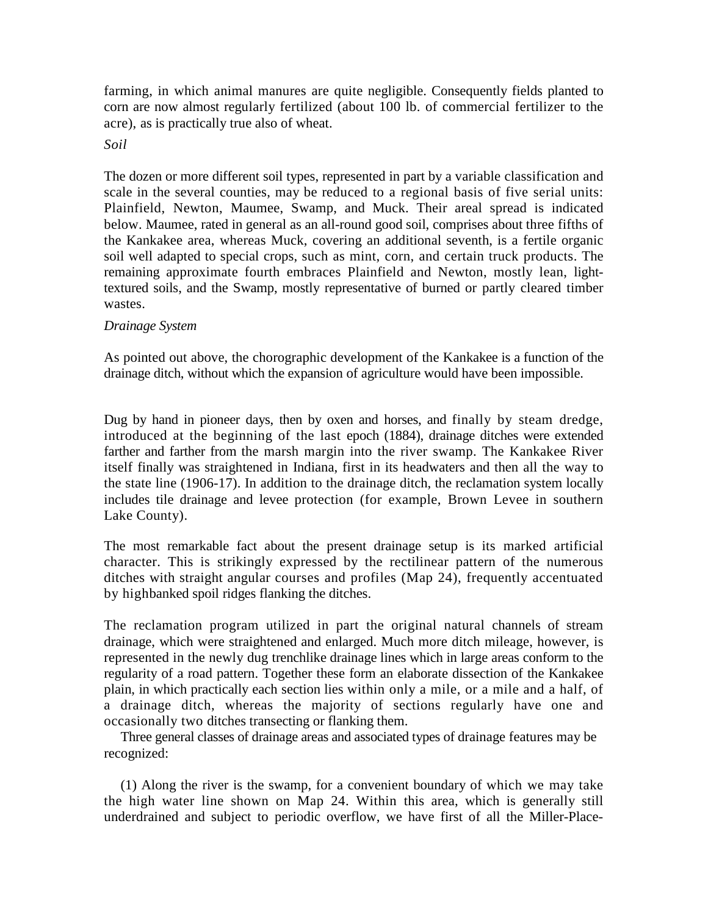farming, in which animal manures are quite negligible. Consequently fields planted to corn are now almost regularly fertilized (about 100 lb. of commercial fertilizer to the acre), as is practically true also of wheat.

*Soil*

The dozen or more different soil types, represented in part by a variable classification and scale in the several counties, may be reduced to a regional basis of five serial units: Plainfield, Newton, Maumee, Swamp, and Muck. Their areal spread is indicated below. Maumee, rated in general as an all-round good soil, comprises about three fifths of the Kankakee area, whereas Muck, covering an additional seventh, is a fertile organic soil well adapted to special crops, such as mint, corn, and certain truck products. The remaining approximate fourth embraces Plainfield and Newton, mostly lean, lighttextured soils, and the Swamp, mostly representative of burned or partly cleared timber wastes.

# *Drainage System*

As pointed out above, the chorographic development of the Kankakee is a function of the drainage ditch, without which the expansion of agriculture would have been impossible.

Dug by hand in pioneer days, then by oxen and horses, and finally by steam dredge, introduced at the beginning of the last epoch (1884), drainage ditches were extended farther and farther from the marsh margin into the river swamp. The Kankakee River itself finally was straightened in Indiana, first in its headwaters and then all the way to the state line (1906-17). In addition to the drainage ditch, the reclamation system locally includes tile drainage and levee protection (for example, Brown Levee in southern Lake County).

The most remarkable fact about the present drainage setup is its marked artificial character. This is strikingly expressed by the rectilinear pattern of the numerous ditches with straight angular courses and profiles (Map 24), frequently accentuated by highbanked spoil ridges flanking the ditches.

The reclamation program utilized in part the original natural channels of stream drainage, which were straightened and enlarged. Much more ditch mileage, however, is represented in the newly dug trenchlike drainage lines which in large areas conform to the regularity of a road pattern. Together these form an elaborate dissection of the Kankakee plain, in which practically each section lies within only a mile, or a mile and a half, of a drainage ditch, whereas the majority of sections regularly have one and occasionally two ditches transecting or flanking them.

Three general classes of drainage areas and associated types of drainage features may be recognized:

(1) Along the river is the swamp, for a convenient boundary of which we may take the high water line shown on Map 24. Within this area, which is generally still underdrained and subject to periodic overflow, we have first of all the Miller-Place-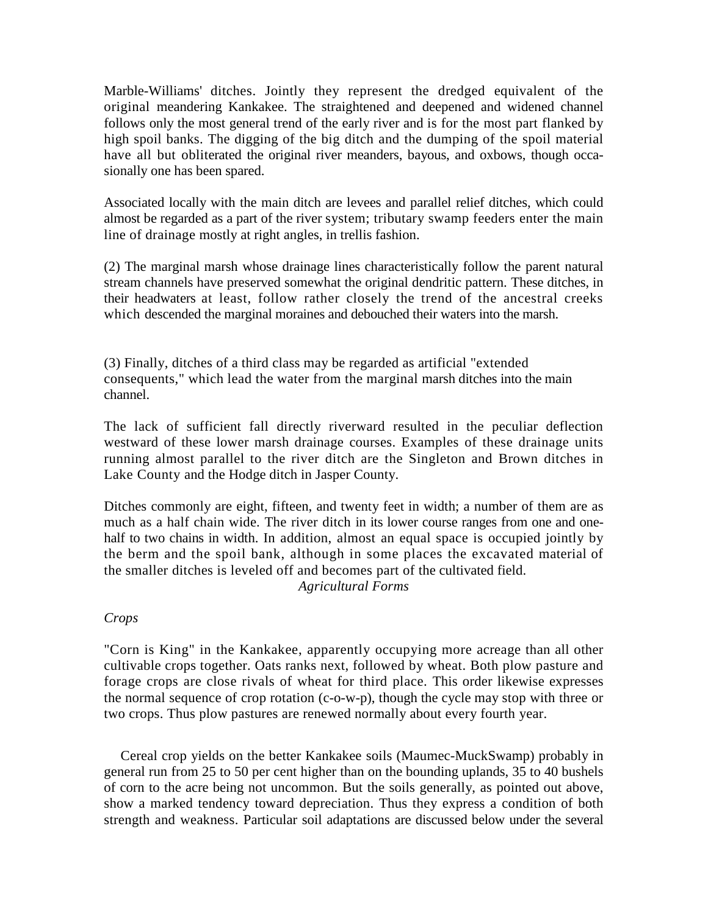Marble-Williams' ditches. Jointly they represent the dredged equivalent of the original meandering Kankakee. The straightened and deepened and widened channel follows only the most general trend of the early river and is for the most part flanked by high spoil banks. The digging of the big ditch and the dumping of the spoil material have all but obliterated the original river meanders, bayous, and oxbows, though occasionally one has been spared.

Associated locally with the main ditch are levees and parallel relief ditches, which could almost be regarded as a part of the river system; tributary swamp feeders enter the main line of drainage mostly at right angles, in trellis fashion.

(2) The marginal marsh whose drainage lines characteristically follow the parent natural stream channels have preserved somewhat the original dendritic pattern. These ditches, in their headwaters at least, follow rather closely the trend of the ancestral creeks which descended the marginal moraines and debouched their waters into the marsh.

(3) Finally, ditches of a third class may be regarded as artificial "extended consequents," which lead the water from the marginal marsh ditches into the main channel.

The lack of sufficient fall directly riverward resulted in the peculiar deflection westward of these lower marsh drainage courses. Examples of these drainage units running almost parallel to the river ditch are the Singleton and Brown ditches in Lake County and the Hodge ditch in Jasper County.

Ditches commonly are eight, fifteen, and twenty feet in width; a number of them are as much as a half chain wide. The river ditch in its lower course ranges from one and onehalf to two chains in width. In addition, almost an equal space is occupied jointly by the berm and the spoil bank, although in some places the excavated material of the smaller ditches is leveled off and becomes part of the cultivated field. *Agricultural Forms*

## *Crops*

"Corn is King" in the Kankakee, apparently occupying more acreage than all other cultivable crops together. Oats ranks next, followed by wheat. Both plow pasture and forage crops are close rivals of wheat for third place. This order likewise expresses the normal sequence of crop rotation (c-o-w-p), though the cycle may stop with three or two crops. Thus plow pastures are renewed normally about every fourth year.

Cereal crop yields on the better Kankakee soils (Maumec-MuckSwamp) probably in general run from 25 to 50 per cent higher than on the bounding uplands, 35 to 40 bushels of corn to the acre being not uncommon. But the soils generally, as pointed out above, show a marked tendency toward depreciation. Thus they express a condition of both strength and weakness. Particular soil adaptations are discussed below under the several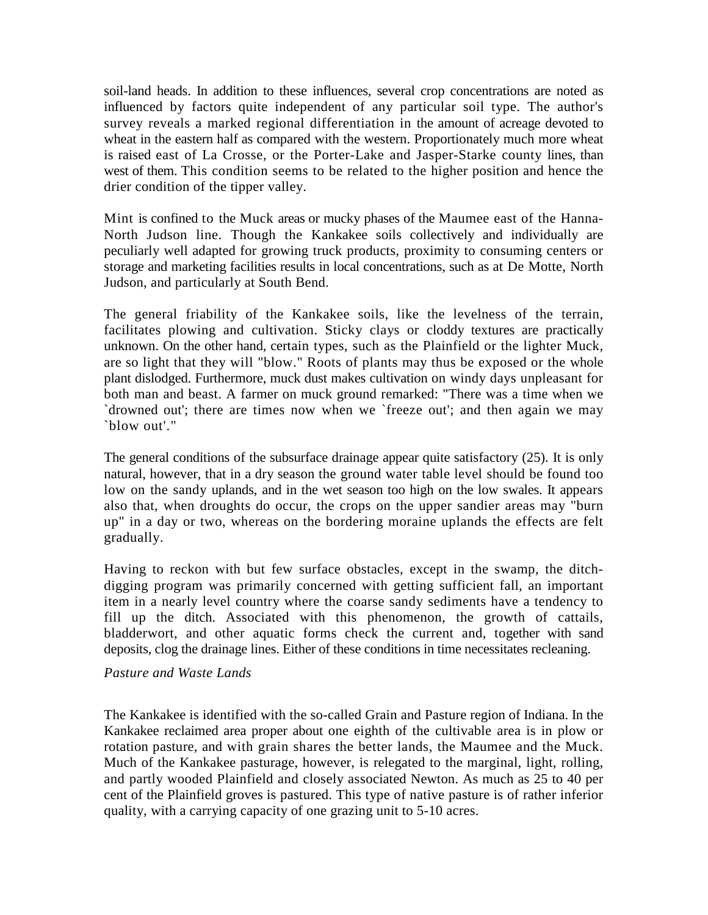soil-land heads. In addition to these influences, several crop concentrations are noted as influenced by factors quite independent of any particular soil type. The author's survey reveals a marked regional differentiation in the amount of acreage devoted to wheat in the eastern half as compared with the western. Proportionately much more wheat is raised east of La Crosse, or the Porter-Lake and Jasper-Starke county lines, than west of them. This condition seems to be related to the higher position and hence the drier condition of the tipper valley.

Mint is confined to the Muck areas or mucky phases of the Maumee east of the Hanna-North Judson line. Though the Kankakee soils collectively and individually are peculiarly well adapted for growing truck products, proximity to consuming centers or storage and marketing facilities results in local concentrations, such as at De Motte, North Judson, and particularly at South Bend.

The general friability of the Kankakee soils, like the levelness of the terrain, facilitates plowing and cultivation. Sticky clays or cloddy textures are practically unknown. On the other hand, certain types, such as the Plainfield or the lighter Muck, are so light that they will "blow." Roots of plants may thus be exposed or the whole plant dislodged. Furthermore, muck dust makes cultivation on windy days unpleasant for both man and beast. A farmer on muck ground remarked: "There was a time when we `drowned out'; there are times now when we `freeze out'; and then again we may `blow out'."

The general conditions of the subsurface drainage appear quite satisfactory (25). It is only natural, however, that in a dry season the ground water table level should be found too low on the sandy uplands, and in the wet season too high on the low swales. It appears also that, when droughts do occur, the crops on the upper sandier areas may "burn up" in a day or two, whereas on the bordering moraine uplands the effects are felt gradually.

Having to reckon with but few surface obstacles, except in the swamp, the ditchdigging program was primarily concerned with getting sufficient fall, an important item in a nearly level country where the coarse sandy sediments have a tendency to fill up the ditch. Associated with this phenomenon, the growth of cattails, bladderwort, and other aquatic forms check the current and, together with sand deposits, clog the drainage lines. Either of these conditions in time necessitates recleaning.

## *Pasture and Waste Lands*

The Kankakee is identified with the so-called Grain and Pasture region of Indiana. In the Kankakee reclaimed area proper about one eighth of the cultivable area is in plow or rotation pasture, and with grain shares the better lands, the Maumee and the Muck. Much of the Kankakee pasturage, however, is relegated to the marginal, light, rolling, and partly wooded Plainfield and closely associated Newton. As much as 25 to 40 per cent of the Plainfield groves is pastured. This type of native pasture is of rather inferior quality, with a carrying capacity of one grazing unit to 5-10 acres.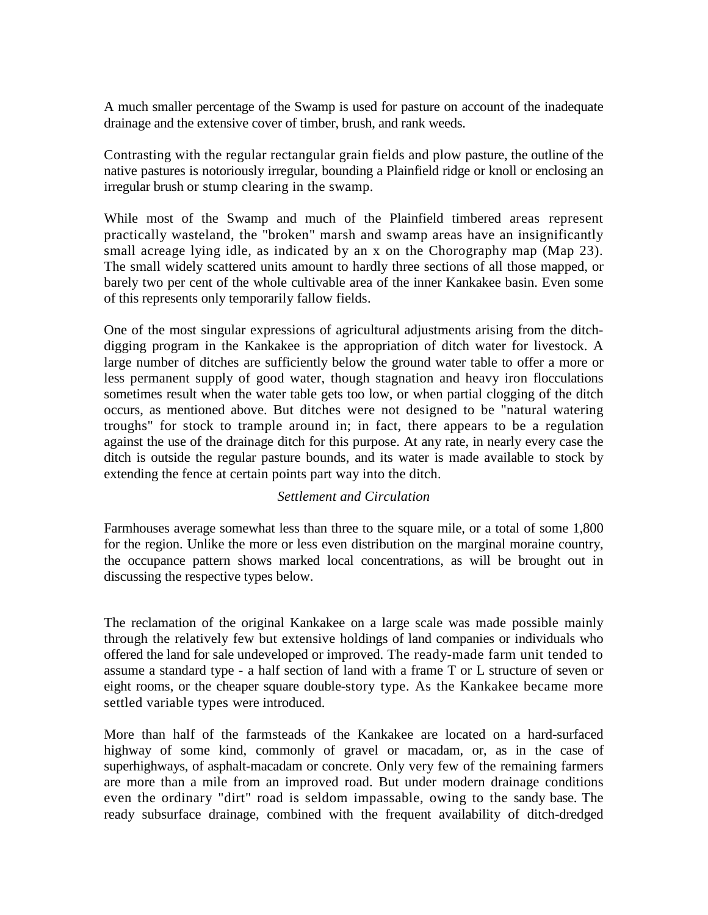A much smaller percentage of the Swamp is used for pasture on account of the inadequate drainage and the extensive cover of timber, brush, and rank weeds.

Contrasting with the regular rectangular grain fields and plow pasture, the outline of the native pastures is notoriously irregular, bounding a Plainfield ridge or knoll or enclosing an irregular brush or stump clearing in the swamp.

While most of the Swamp and much of the Plainfield timbered areas represent practically wasteland, the "broken" marsh and swamp areas have an insignificantly small acreage lying idle, as indicated by an x on the Chorography map (Map 23). The small widely scattered units amount to hardly three sections of all those mapped, or barely two per cent of the whole cultivable area of the inner Kankakee basin. Even some of this represents only temporarily fallow fields.

One of the most singular expressions of agricultural adjustments arising from the ditchdigging program in the Kankakee is the appropriation of ditch water for livestock. A large number of ditches are sufficiently below the ground water table to offer a more or less permanent supply of good water, though stagnation and heavy iron flocculations sometimes result when the water table gets too low, or when partial clogging of the ditch occurs, as mentioned above. But ditches were not designed to be "natural watering troughs" for stock to trample around in; in fact, there appears to be a regulation against the use of the drainage ditch for this purpose. At any rate, in nearly every case the ditch is outside the regular pasture bounds, and its water is made available to stock by extending the fence at certain points part way into the ditch.

## *Settlement and Circulation*

Farmhouses average somewhat less than three to the square mile, or a total of some 1,800 for the region. Unlike the more or less even distribution on the marginal moraine country, the occupance pattern shows marked local concentrations, as will be brought out in discussing the respective types below.

The reclamation of the original Kankakee on a large scale was made possible mainly through the relatively few but extensive holdings of land companies or individuals who offered the land for sale undeveloped or improved. The ready-made farm unit tended to assume a standard type - a half section of land with a frame T or L structure of seven or eight rooms, or the cheaper square double-story type. As the Kankakee became more settled variable types were introduced.

More than half of the farmsteads of the Kankakee are located on a hard-surfaced highway of some kind, commonly of gravel or macadam, or, as in the case of superhighways, of asphalt-macadam or concrete. Only very few of the remaining farmers are more than a mile from an improved road. But under modern drainage conditions even the ordinary "dirt" road is seldom impassable, owing to the sandy base. The ready subsurface drainage, combined with the frequent availability of ditch-dredged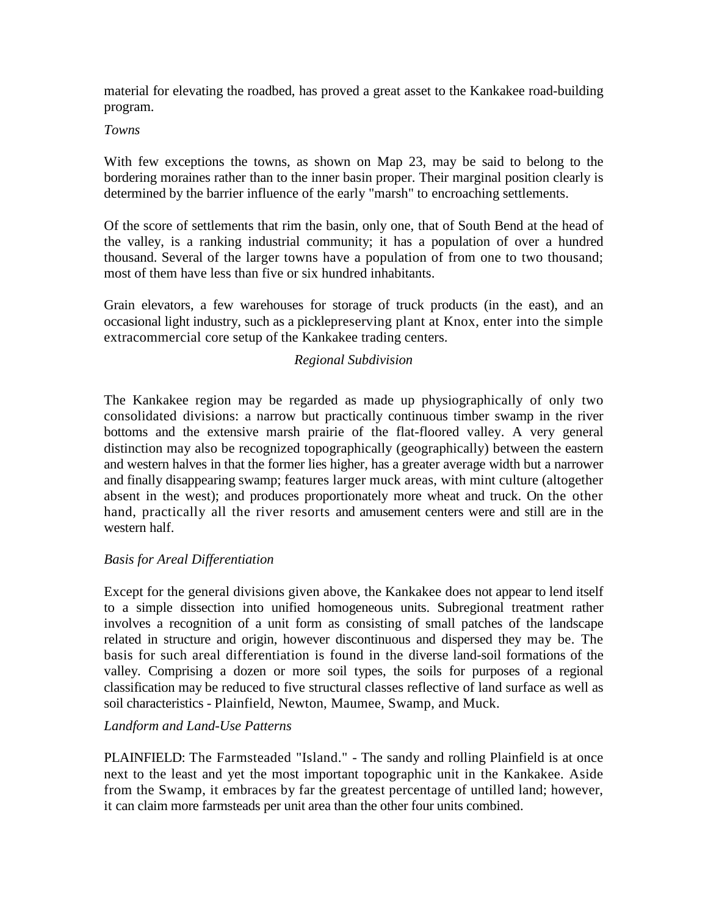material for elevating the roadbed, has proved a great asset to the Kankakee road-building program.

#### *Towns*

With few exceptions the towns, as shown on Map 23, may be said to belong to the bordering moraines rather than to the inner basin proper. Their marginal position clearly is determined by the barrier influence of the early "marsh" to encroaching settlements.

Of the score of settlements that rim the basin, only one, that of South Bend at the head of the valley, is a ranking industrial community; it has a population of over a hundred thousand. Several of the larger towns have a population of from one to two thousand; most of them have less than five or six hundred inhabitants.

Grain elevators, a few warehouses for storage of truck products (in the east), and an occasional light industry, such as a picklepreserving plant at Knox, enter into the simple extracommercial core setup of the Kankakee trading centers.

## *Regional Subdivision*

The Kankakee region may be regarded as made up physiographically of only two consolidated divisions: a narrow but practically continuous timber swamp in the river bottoms and the extensive marsh prairie of the flat-floored valley. A very general distinction may also be recognized topographically (geographically) between the eastern and western halves in that the former lies higher, has a greater average width but a narrower and finally disappearing swamp; features larger muck areas, with mint culture (altogether absent in the west); and produces proportionately more wheat and truck. On the other hand, practically all the river resorts and amusement centers were and still are in the western half.

## *Basis for Areal Differentiation*

Except for the general divisions given above, the Kankakee does not appear to lend itself to a simple dissection into unified homogeneous units. Subregional treatment rather involves a recognition of a unit form as consisting of small patches of the landscape related in structure and origin, however discontinuous and dispersed they may be. The basis for such areal differentiation is found in the diverse land-soil formations of the valley. Comprising a dozen or more soil types, the soils for purposes of a regional classification may be reduced to five structural classes reflective of land surface as well as soil characteristics - Plainfield, Newton, Maumee, Swamp, and Muck.

## *Landform and Land-Use Patterns*

PLAINFIELD: The Farmsteaded "Island." - The sandy and rolling Plainfield is at once next to the least and yet the most important topographic unit in the Kankakee. Aside from the Swamp, it embraces by far the greatest percentage of untilled land; however, it can claim more farmsteads per unit area than the other four units combined.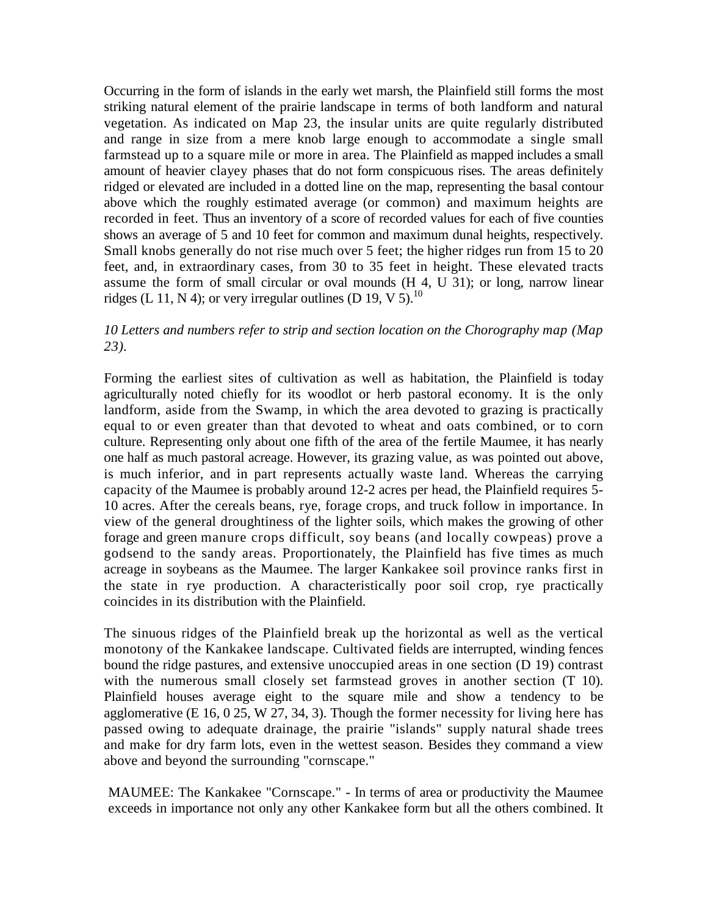Occurring in the form of islands in the early wet marsh, the Plainfield still forms the most striking natural element of the prairie landscape in terms of both landform and natural vegetation. As indicated on Map 23, the insular units are quite regularly distributed and range in size from a mere knob large enough to accommodate a single small farmstead up to a square mile or more in area. The Plainfield as mapped includes a small amount of heavier clayey phases that do not form conspicuous rises. The areas definitely ridged or elevated are included in a dotted line on the map, representing the basal contour above which the roughly estimated average (or common) and maximum heights are recorded in feet. Thus an inventory of a score of recorded values for each of five counties shows an average of 5 and 10 feet for common and maximum dunal heights, respectively. Small knobs generally do not rise much over 5 feet; the higher ridges run from 15 to 20 feet, and, in extraordinary cases, from 30 to 35 feet in height. These elevated tracts assume the form of small circular or oval mounds (H 4, U 31); or long, narrow linear ridges (L 11, N 4); or very irregular outlines (D 19, V 5).<sup>10</sup>

# *10 Letters and numbers refer to strip and section location on the Chorography map (Map 23).*

Forming the earliest sites of cultivation as well as habitation, the Plainfield is today agriculturally noted chiefly for its woodlot or herb pastoral economy. It is the only landform, aside from the Swamp, in which the area devoted to grazing is practically equal to or even greater than that devoted to wheat and oats combined, or to corn culture. Representing only about one fifth of the area of the fertile Maumee, it has nearly one half as much pastoral acreage. However, its grazing value, as was pointed out above, is much inferior, and in part represents actually waste land. Whereas the carrying capacity of the Maumee is probably around 12-2 acres per head, the Plainfield requires 5- 10 acres. After the cereals beans, rye, forage crops, and truck follow in importance. In view of the general droughtiness of the lighter soils, which makes the growing of other forage and green manure crops difficult, soy beans (and locally cowpeas) prove a godsend to the sandy areas. Proportionately, the Plainfield has five times as much acreage in soybeans as the Maumee. The larger Kankakee soil province ranks first in the state in rye production. A characteristically poor soil crop, rye practically coincides in its distribution with the Plainfield.

The sinuous ridges of the Plainfield break up the horizontal as well as the vertical monotony of the Kankakee landscape. Cultivated fields are interrupted, winding fences bound the ridge pastures, and extensive unoccupied areas in one section (D 19) contrast with the numerous small closely set farmstead groves in another section (T 10). Plainfield houses average eight to the square mile and show a tendency to be agglomerative  $(E 16, 0 25, W 27, 34, 3)$ . Though the former necessity for living here has passed owing to adequate drainage, the prairie "islands" supply natural shade trees and make for dry farm lots, even in the wettest season. Besides they command a view above and beyond the surrounding "cornscape."

MAUMEE: The Kankakee "Cornscape." - In terms of area or productivity the Maumee exceeds in importance not only any other Kankakee form but all the others combined. It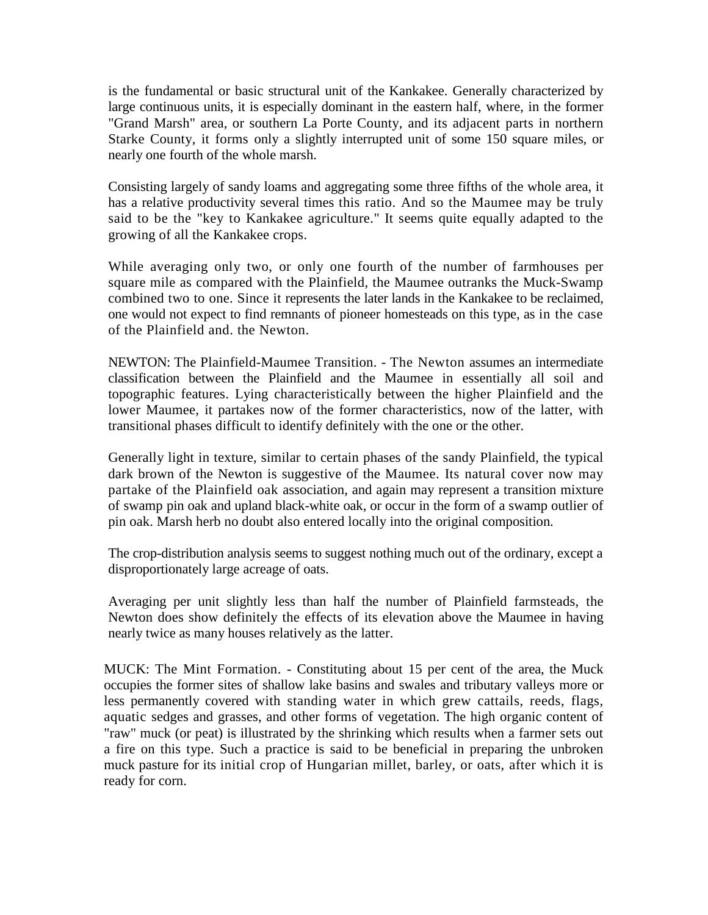is the fundamental or basic structural unit of the Kankakee. Generally characterized by large continuous units, it is especially dominant in the eastern half, where, in the former "Grand Marsh" area, or southern La Porte County, and its adjacent parts in northern Starke County, it forms only a slightly interrupted unit of some 150 square miles, or nearly one fourth of the whole marsh.

Consisting largely of sandy loams and aggregating some three fifths of the whole area, it has a relative productivity several times this ratio. And so the Maumee may be truly said to be the "key to Kankakee agriculture." It seems quite equally adapted to the growing of all the Kankakee crops.

While averaging only two, or only one fourth of the number of farmhouses per square mile as compared with the Plainfield, the Maumee outranks the Muck-Swamp combined two to one. Since it represents the later lands in the Kankakee to be reclaimed, one would not expect to find remnants of pioneer homesteads on this type, as in the case of the Plainfield and. the Newton.

NEWTON: The Plainfield-Maumee Transition. - The Newton assumes an intermediate classification between the Plainfield and the Maumee in essentially all soil and topographic features. Lying characteristically between the higher Plainfield and the lower Maumee, it partakes now of the former characteristics, now of the latter, with transitional phases difficult to identify definitely with the one or the other.

Generally light in texture, similar to certain phases of the sandy Plainfield, the typical dark brown of the Newton is suggestive of the Maumee. Its natural cover now may partake of the Plainfield oak association, and again may represent a transition mixture of swamp pin oak and upland black-white oak, or occur in the form of a swamp outlier of pin oak. Marsh herb no doubt also entered locally into the original composition.

The crop-distribution analysis seems to suggest nothing much out of the ordinary, except a disproportionately large acreage of oats.

Averaging per unit slightly less than half the number of Plainfield farmsteads, the Newton does show definitely the effects of its elevation above the Maumee in having nearly twice as many houses relatively as the latter.

MUCK: The Mint Formation. - Constituting about 15 per cent of the area, the Muck occupies the former sites of shallow lake basins and swales and tributary valleys more or less permanently covered with standing water in which grew cattails, reeds, flags, aquatic sedges and grasses, and other forms of vegetation. The high organic content of "raw" muck (or peat) is illustrated by the shrinking which results when a farmer sets out a fire on this type. Such a practice is said to be beneficial in preparing the unbroken muck pasture for its initial crop of Hungarian millet, barley, or oats, after which it is ready for corn.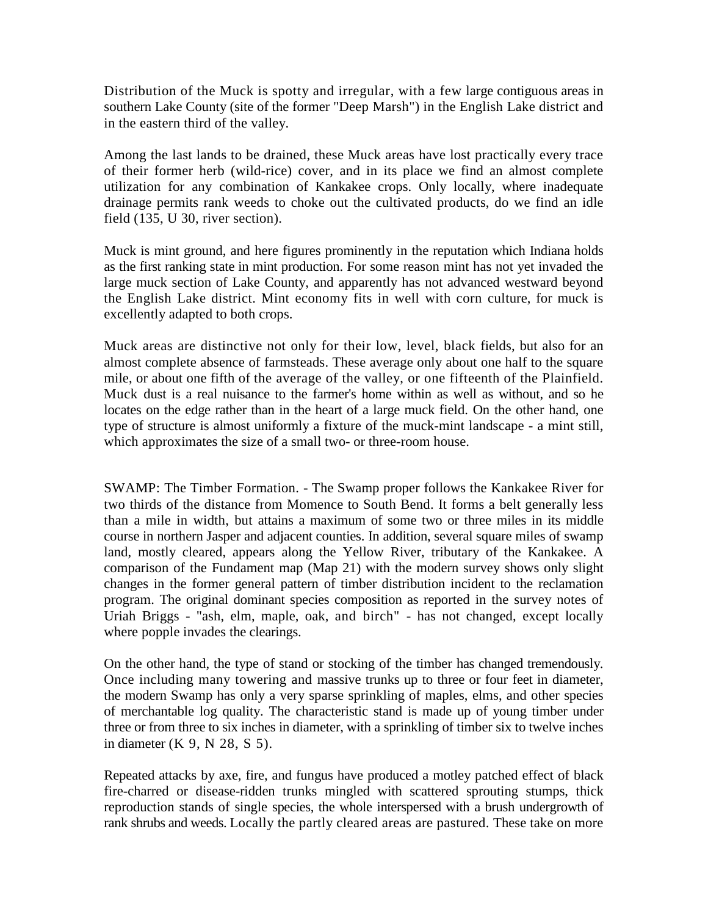Distribution of the Muck is spotty and irregular, with a few large contiguous areas in southern Lake County (site of the former "Deep Marsh") in the English Lake district and in the eastern third of the valley.

Among the last lands to be drained, these Muck areas have lost practically every trace of their former herb (wild-rice) cover, and in its place we find an almost complete utilization for any combination of Kankakee crops. Only locally, where inadequate drainage permits rank weeds to choke out the cultivated products, do we find an idle field (135, U 30, river section).

Muck is mint ground, and here figures prominently in the reputation which Indiana holds as the first ranking state in mint production. For some reason mint has not yet invaded the large muck section of Lake County, and apparently has not advanced westward beyond the English Lake district. Mint economy fits in well with corn culture, for muck is excellently adapted to both crops.

Muck areas are distinctive not only for their low, level, black fields, but also for an almost complete absence of farmsteads. These average only about one half to the square mile, or about one fifth of the average of the valley, or one fifteenth of the Plainfield. Muck dust is a real nuisance to the farmer's home within as well as without, and so he locates on the edge rather than in the heart of a large muck field. On the other hand, one type of structure is almost uniformly a fixture of the muck-mint landscape - a mint still, which approximates the size of a small two- or three-room house.

SWAMP: The Timber Formation. - The Swamp proper follows the Kankakee River for two thirds of the distance from Momence to South Bend. It forms a belt generally less than a mile in width, but attains a maximum of some two or three miles in its middle course in northern Jasper and adjacent counties. In addition, several square miles of swamp land, mostly cleared, appears along the Yellow River, tributary of the Kankakee. A comparison of the Fundament map (Map 21) with the modern survey shows only slight changes in the former general pattern of timber distribution incident to the reclamation program. The original dominant species composition as reported in the survey notes of Uriah Briggs - "ash, elm, maple, oak, and birch" - has not changed, except locally where popple invades the clearings.

On the other hand, the type of stand or stocking of the timber has changed tremendously. Once including many towering and massive trunks up to three or four feet in diameter, the modern Swamp has only a very sparse sprinkling of maples, elms, and other species of merchantable log quality. The characteristic stand is made up of young timber under three or from three to six inches in diameter, with a sprinkling of timber six to twelve inches in diameter (K 9, N 28, S 5).

Repeated attacks by axe, fire, and fungus have produced a motley patched effect of black fire-charred or disease-ridden trunks mingled with scattered sprouting stumps, thick reproduction stands of single species, the whole interspersed with a brush undergrowth of rank shrubs and weeds. Locally the partly cleared areas are pastured. These take on more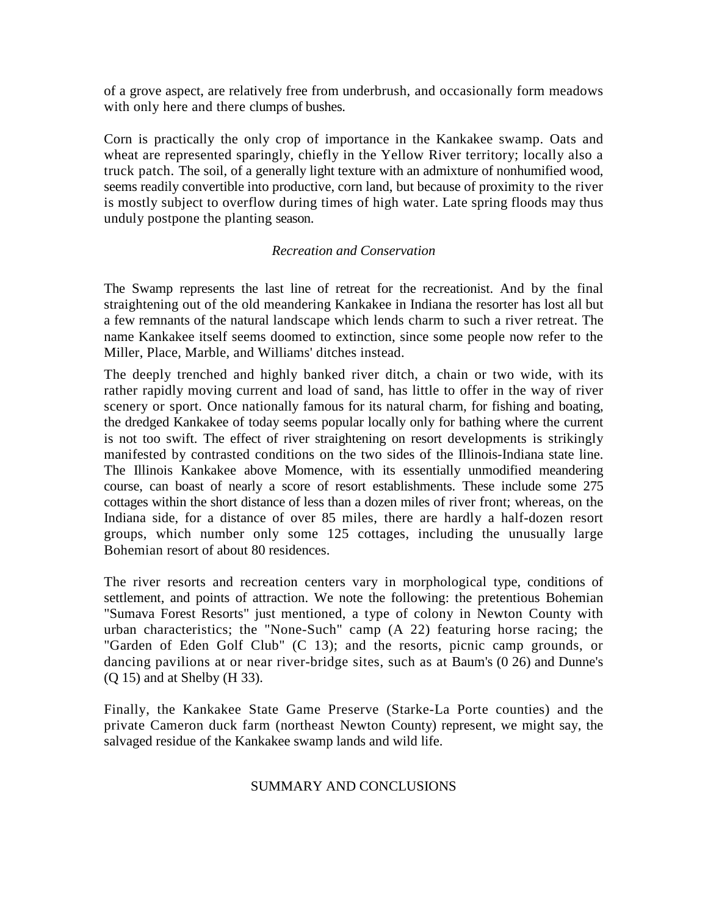of a grove aspect, are relatively free from underbrush, and occasionally form meadows with only here and there clumps of bushes.

Corn is practically the only crop of importance in the Kankakee swamp. Oats and wheat are represented sparingly, chiefly in the Yellow River territory; locally also a truck patch. The soil, of a generally light texture with an admixture of nonhumified wood, seems readily convertible into productive, corn land, but because of proximity to the river is mostly subject to overflow during times of high water. Late spring floods may thus unduly postpone the planting season.

## *Recreation and Conservation*

The Swamp represents the last line of retreat for the recreationist. And by the final straightening out of the old meandering Kankakee in Indiana the resorter has lost all but a few remnants of the natural landscape which lends charm to such a river retreat. The name Kankakee itself seems doomed to extinction, since some people now refer to the Miller, Place, Marble, and Williams' ditches instead.

The deeply trenched and highly banked river ditch, a chain or two wide, with its rather rapidly moving current and load of sand, has little to offer in the way of river scenery or sport. Once nationally famous for its natural charm, for fishing and boating, the dredged Kankakee of today seems popular locally only for bathing where the current is not too swift. The effect of river straightening on resort developments is strikingly manifested by contrasted conditions on the two sides of the Illinois-Indiana state line. The Illinois Kankakee above Momence, with its essentially unmodified meandering course, can boast of nearly a score of resort establishments. These include some 275 cottages within the short distance of less than a dozen miles of river front; whereas, on the Indiana side, for a distance of over 85 miles, there are hardly a half-dozen resort groups, which number only some 125 cottages, including the unusually large Bohemian resort of about 80 residences.

The river resorts and recreation centers vary in morphological type, conditions of settlement, and points of attraction. We note the following: the pretentious Bohemian "Sumava Forest Resorts" just mentioned, a type of colony in Newton County with urban characteristics; the "None-Such" camp (A 22) featuring horse racing; the "Garden of Eden Golf Club" (C 13); and the resorts, picnic camp grounds, or dancing pavilions at or near river-bridge sites, such as at Baum's (0 26) and Dunne's (Q 15) and at Shelby (H 33).

Finally, the Kankakee State Game Preserve (Starke-La Porte counties) and the private Cameron duck farm (northeast Newton County) represent, we might say, the salvaged residue of the Kankakee swamp lands and wild life.

## SUMMARY AND CONCLUSIONS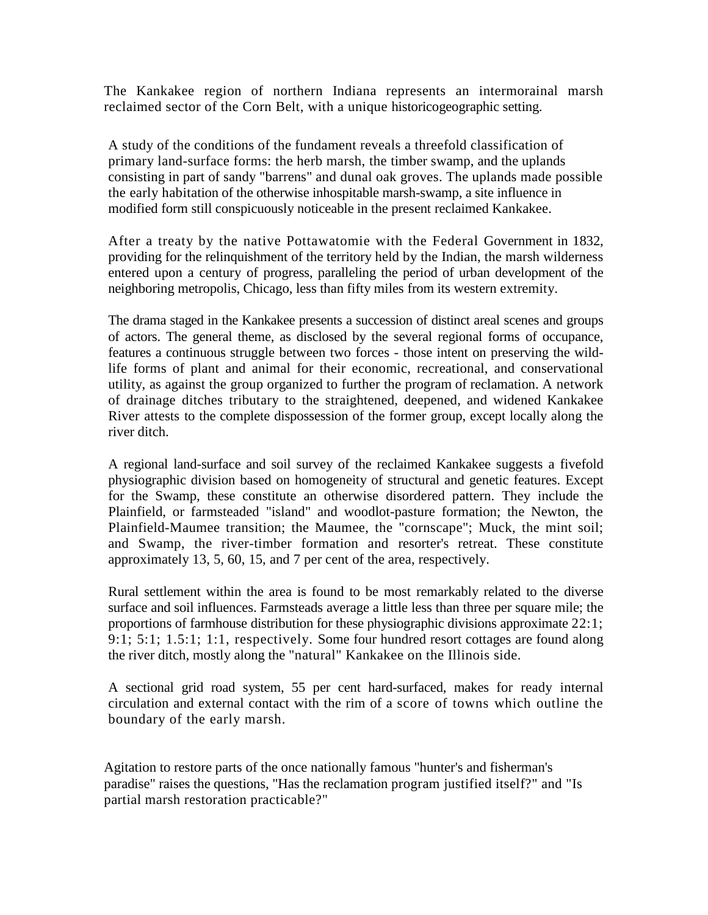The Kankakee region of northern Indiana represents an intermorainal marsh reclaimed sector of the Corn Belt, with a unique historicogeographic setting.

A study of the conditions of the fundament reveals a threefold classification of primary land-surface forms: the herb marsh, the timber swamp, and the uplands consisting in part of sandy "barrens" and dunal oak groves. The uplands made possible the early habitation of the otherwise inhospitable marsh-swamp, a site influence in modified form still conspicuously noticeable in the present reclaimed Kankakee.

After a treaty by the native Pottawatomie with the Federal Government in 1832, providing for the relinquishment of the territory held by the Indian, the marsh wilderness entered upon a century of progress, paralleling the period of urban development of the neighboring metropolis, Chicago, less than fifty miles from its western extremity.

The drama staged in the Kankakee presents a succession of distinct areal scenes and groups of actors. The general theme, as disclosed by the several regional forms of occupance, features a continuous struggle between two forces - those intent on preserving the wildlife forms of plant and animal for their economic, recreational, and conservational utility, as against the group organized to further the program of reclamation. A network of drainage ditches tributary to the straightened, deepened, and widened Kankakee River attests to the complete dispossession of the former group, except locally along the river ditch.

A regional land-surface and soil survey of the reclaimed Kankakee suggests a fivefold physiographic division based on homogeneity of structural and genetic features. Except for the Swamp, these constitute an otherwise disordered pattern. They include the Plainfield, or farmsteaded "island" and woodlot-pasture formation; the Newton, the Plainfield-Maumee transition; the Maumee, the "cornscape"; Muck, the mint soil; and Swamp, the river-timber formation and resorter's retreat. These constitute approximately 13, 5, 60, 15, and 7 per cent of the area, respectively.

Rural settlement within the area is found to be most remarkably related to the diverse surface and soil influences. Farmsteads average a little less than three per square mile; the proportions of farmhouse distribution for these physiographic divisions approximate 22:1; 9:1; 5:1; 1.5:1; 1:1, respectively. Some four hundred resort cottages are found along the river ditch, mostly along the "natural" Kankakee on the Illinois side.

A sectional grid road system, 55 per cent hard-surfaced, makes for ready internal circulation and external contact with the rim of a score of towns which outline the boundary of the early marsh.

Agitation to restore parts of the once nationally famous "hunter's and fisherman's paradise" raises the questions, "Has the reclamation program justified itself?" and "Is partial marsh restoration practicable?"